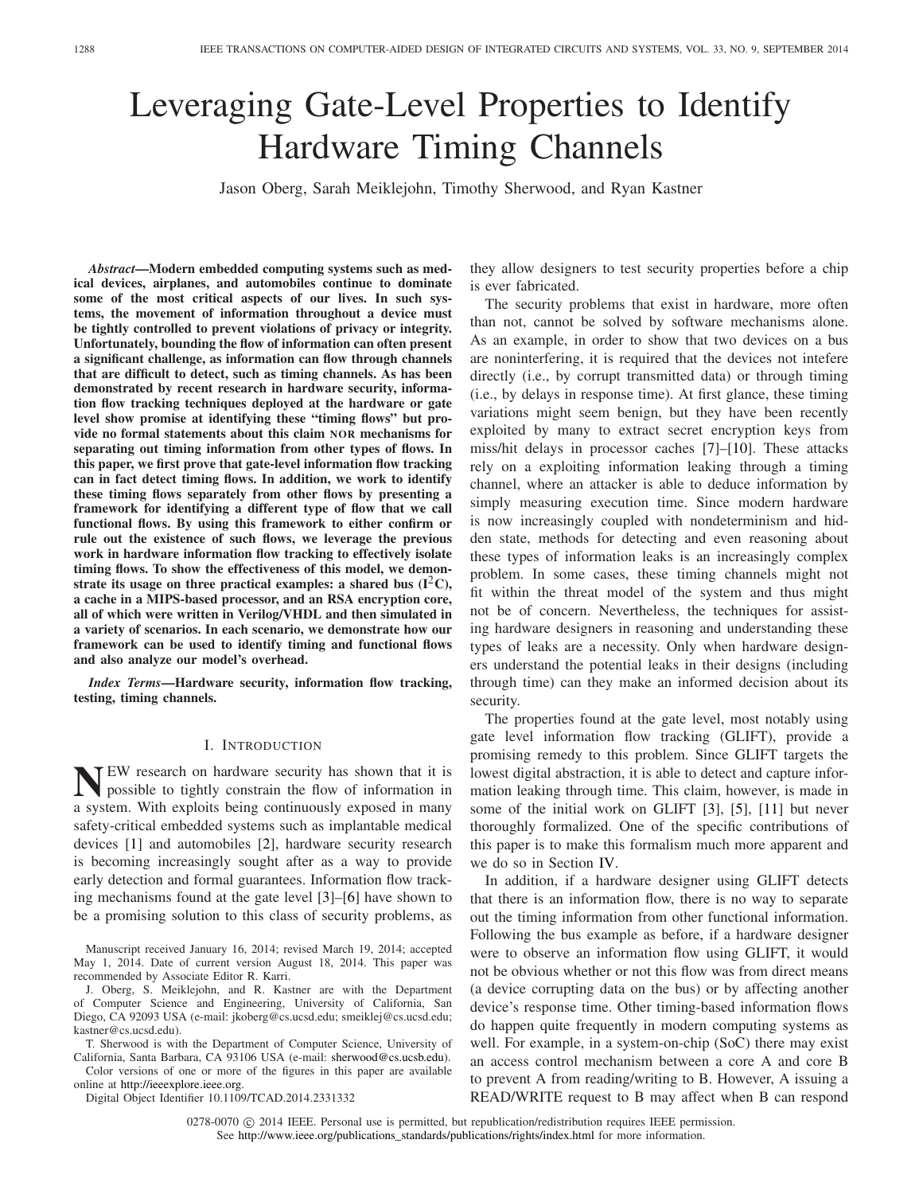# Leveraging Gate-Level Properties to Identify Hardware Timing Channels

Jason Oberg, Sarah Meiklejohn, Timothy Sherwood, and Ryan Kastner

*Abstract***—Modern embedded computing systems such as medical devices, airplanes, and automobiles continue to dominate some of the most critical aspects of our lives. In such systems, the movement of information throughout a device must be tightly controlled to prevent violations of privacy or integrity. Unfortunately, bounding the flow of information can often present a significant challenge, as information can flow through channels that are difficult to detect, such as timing channels. As has been demonstrated by recent research in hardware security, information flow tracking techniques deployed at the hardware or gate level show promise at identifying these "timing flows" but provide no formal statements about this claim NOR mechanisms for separating out timing information from other types of flows. In this paper, we first prove that gate-level information flow tracking can in fact detect timing flows. In addition, we work to identify these timing flows separately from other flows by presenting a framework for identifying a different type of flow that we call functional flows. By using this framework to either confirm or rule out the existence of such flows, we leverage the previous work in hardware information flow tracking to effectively isolate timing flows. To show the effectiveness of this model, we demon**strate its usage on three practical examples: a shared bus  $(I^2C)$ , **a cache in a MIPS-based processor, and an RSA encryption core, all of which were written in Verilog/VHDL and then simulated in a variety of scenarios. In each scenario, we demonstrate how our framework can be used to identify timing and functional flows and also analyze our model's overhead.**

*Index Terms***—Hardware security, information flow tracking, testing, timing channels.**

#### I. INTRODUCTION

**NEW** research on hardware security has shown that it is<br>possible to tightly constrain the flow of information in a system. With exploits being continuously exposed in many safety-critical embedded systems such as implantable medical devices [1] and automobiles [2], hardware security research is becoming increasingly sought after as a way to provide early detection and formal guarantees. Information flow tracking mechanisms found at the gate level [3]–[6] have shown to be a promising solution to this class of security problems, as

Manuscript received January 16, 2014; revised March 19, 2014; accepted May 1, 2014. Date of current version August 18, 2014. This paper was recommended by Associate Editor R. Karri.

J. Oberg, S. Meiklejohn, and R. Kastner are with the Department of Computer Science and Engineering, University of California, San Diego, CA 92093 USA (e-mail: jkoberg@cs.ucsd.edu; smeiklej@cs.ucsd.edu; kastner@cs.ucsd.edu).

T. Sherwood is with the Department of Computer Science, University of California, Santa Barbara, CA 93106 USA (e-mail: sherwood@cs.ucsb.edu).

Color versions of one or more of the figures in this paper are available online at http://ieeexplore.ieee.org.

Digital Object Identifier 10.1109/TCAD.2014.2331332

they allow designers to test security properties before a chip is ever fabricated.

The security problems that exist in hardware, more often than not, cannot be solved by software mechanisms alone. As an example, in order to show that two devices on a bus are noninterfering, it is required that the devices not intefere directly (i.e., by corrupt transmitted data) or through timing (i.e., by delays in response time). At first glance, these timing variations might seem benign, but they have been recently exploited by many to extract secret encryption keys from miss/hit delays in processor caches [7]–[10]. These attacks rely on a exploiting information leaking through a timing channel, where an attacker is able to deduce information by simply measuring execution time. Since modern hardware is now increasingly coupled with nondeterminism and hidden state, methods for detecting and even reasoning about these types of information leaks is an increasingly complex problem. In some cases, these timing channels might not fit within the threat model of the system and thus might not be of concern. Nevertheless, the techniques for assisting hardware designers in reasoning and understanding these types of leaks are a necessity. Only when hardware designers understand the potential leaks in their designs (including through time) can they make an informed decision about its security.

The properties found at the gate level, most notably using gate level information flow tracking (GLIFT), provide a promising remedy to this problem. Since GLIFT targets the lowest digital abstraction, it is able to detect and capture information leaking through time. This claim, however, is made in some of the initial work on GLIFT [3], [5], [11] but never thoroughly formalized. One of the specific contributions of this paper is to make this formalism much more apparent and we do so in Section IV.

In addition, if a hardware designer using GLIFT detects that there is an information flow, there is no way to separate out the timing information from other functional information. Following the bus example as before, if a hardware designer were to observe an information flow using GLIFT, it would not be obvious whether or not this flow was from direct means (a device corrupting data on the bus) or by affecting another device's response time. Other timing-based information flows do happen quite frequently in modern computing systems as well. For example, in a system-on-chip (SoC) there may exist an access control mechanism between a core A and core B to prevent A from reading/writing to B. However, A issuing a READ/WRITE request to B may affect when B can respond

0278-0070  $\copyright$  2014 IEEE. Personal use is permitted, but republication/redistribution requires IEEE permission. See http://www.ieee.org/publications\_standards/publications/rights/index.html for more information.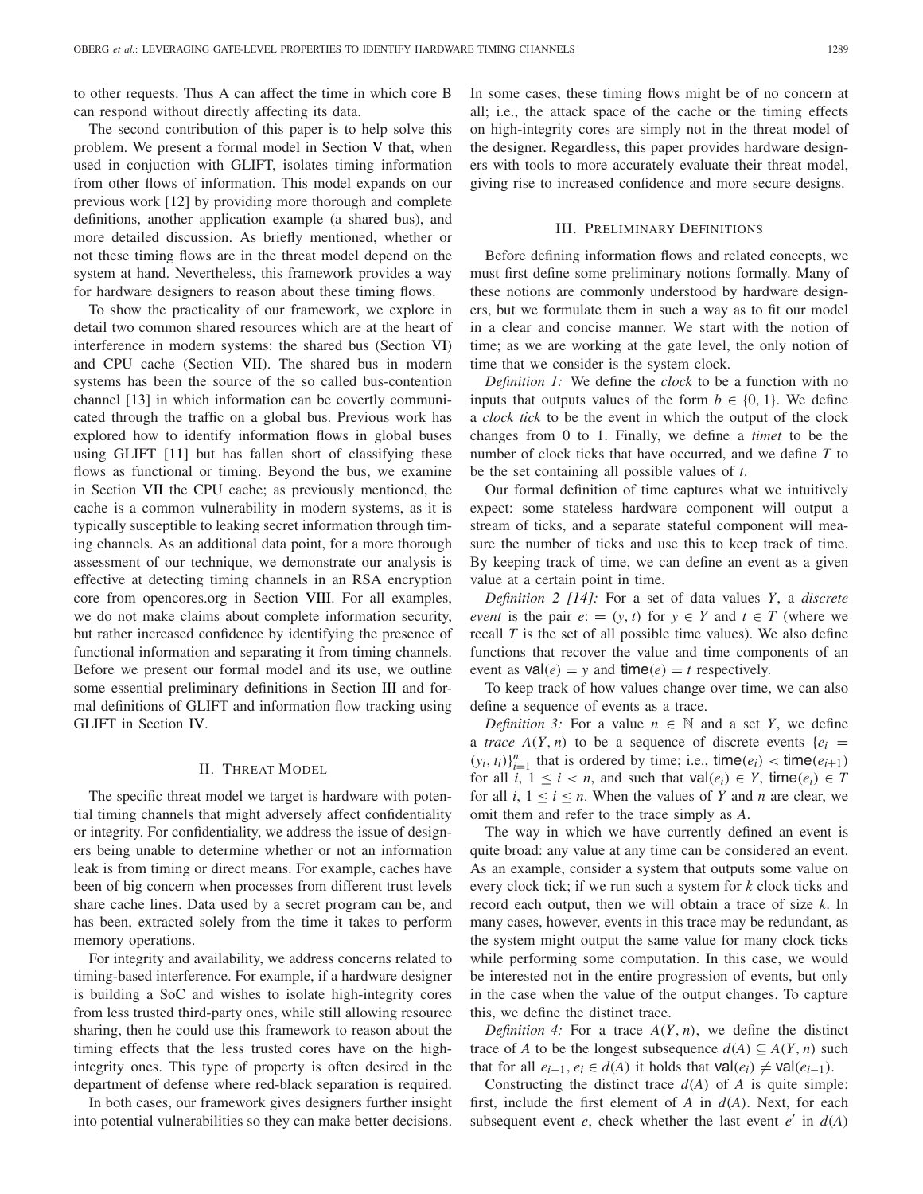to other requests. Thus A can affect the time in which core B can respond without directly affecting its data.

The second contribution of this paper is to help solve this problem. We present a formal model in Section V that, when used in conjuction with GLIFT, isolates timing information from other flows of information. This model expands on our previous work [12] by providing more thorough and complete definitions, another application example (a shared bus), and more detailed discussion. As briefly mentioned, whether or not these timing flows are in the threat model depend on the system at hand. Nevertheless, this framework provides a way for hardware designers to reason about these timing flows.

To show the practicality of our framework, we explore in detail two common shared resources which are at the heart of interference in modern systems: the shared bus (Section VI) and CPU cache (Section VII). The shared bus in modern systems has been the source of the so called bus-contention channel [13] in which information can be covertly communicated through the traffic on a global bus. Previous work has explored how to identify information flows in global buses using GLIFT [11] but has fallen short of classifying these flows as functional or timing. Beyond the bus, we examine in Section VII the CPU cache; as previously mentioned, the cache is a common vulnerability in modern systems, as it is typically susceptible to leaking secret information through timing channels. As an additional data point, for a more thorough assessment of our technique, we demonstrate our analysis is effective at detecting timing channels in an RSA encryption core from opencores.org in Section VIII. For all examples, we do not make claims about complete information security, but rather increased confidence by identifying the presence of functional information and separating it from timing channels. Before we present our formal model and its use, we outline some essential preliminary definitions in Section III and formal definitions of GLIFT and information flow tracking using GLIFT in Section IV.

### II. THREAT MODEL

The specific threat model we target is hardware with potential timing channels that might adversely affect confidentiality or integrity. For confidentiality, we address the issue of designers being unable to determine whether or not an information leak is from timing or direct means. For example, caches have been of big concern when processes from different trust levels share cache lines. Data used by a secret program can be, and has been, extracted solely from the time it takes to perform memory operations.

For integrity and availability, we address concerns related to timing-based interference. For example, if a hardware designer is building a SoC and wishes to isolate high-integrity cores from less trusted third-party ones, while still allowing resource sharing, then he could use this framework to reason about the timing effects that the less trusted cores have on the highintegrity ones. This type of property is often desired in the department of defense where red-black separation is required.

In both cases, our framework gives designers further insight into potential vulnerabilities so they can make better decisions. In some cases, these timing flows might be of no concern at all; i.e., the attack space of the cache or the timing effects on high-integrity cores are simply not in the threat model of the designer. Regardless, this paper provides hardware designers with tools to more accurately evaluate their threat model, giving rise to increased confidence and more secure designs.

# III. PRELIMINARY DEFINITIONS

Before defining information flows and related concepts, we must first define some preliminary notions formally. Many of these notions are commonly understood by hardware designers, but we formulate them in such a way as to fit our model in a clear and concise manner. We start with the notion of time; as we are working at the gate level, the only notion of time that we consider is the system clock.

*Definition 1:* We define the *clock* to be a function with no inputs that outputs values of the form  $b \in \{0, 1\}$ . We define a *clock tick* to be the event in which the output of the clock changes from 0 to 1. Finally, we define a *timet* to be the number of clock ticks that have occurred, and we define *T* to be the set containing all possible values of *t*.

Our formal definition of time captures what we intuitively expect: some stateless hardware component will output a stream of ticks, and a separate stateful component will measure the number of ticks and use this to keep track of time. By keeping track of time, we can define an event as a given value at a certain point in time.

*Definition 2 [14]:* For a set of data values *Y*, a *discrete event* is the pair  $e:=(y, t)$  for  $y \in Y$  and  $t \in T$  (where we recall *T* is the set of all possible time values). We also define functions that recover the value and time components of an event as  $\text{val}(e) = y$  and  $\text{time}(e) = t$  respectively.

To keep track of how values change over time, we can also define a sequence of events as a trace.

*Definition 3:* For a value  $n \in \mathbb{N}$  and a set *Y*, we define a *trace*  $A(Y, n)$  to be a sequence of discrete events  $\{e_i =$  $(y_i, t_i)$ <sub> $i=1$ </sub> that is ordered by time; i.e., time( $e_i$ ) < time( $e_{i+1}$ ) for all  $i, 1 \leq i < n$ , and such that  $val(e_i) \in Y$ , time $(e_i) \in T$ for all  $i, 1 \le i \le n$ . When the values of Y and n are clear, we omit them and refer to the trace simply as *A*.

The way in which we have currently defined an event is quite broad: any value at any time can be considered an event. As an example, consider a system that outputs some value on every clock tick; if we run such a system for *k* clock ticks and record each output, then we will obtain a trace of size *k*. In many cases, however, events in this trace may be redundant, as the system might output the same value for many clock ticks while performing some computation. In this case, we would be interested not in the entire progression of events, but only in the case when the value of the output changes. To capture this, we define the distinct trace.

*Definition 4:* For a trace  $A(Y, n)$ , we define the distinct trace of *A* to be the longest subsequence  $d(A) \subseteq A(Y, n)$  such that for all  $e_{i-1}$ ,  $e_i \in d(A)$  it holds that  $val(e_i) \neq val(e_{i-1})$ .

Constructing the distinct trace  $d(A)$  of  $A$  is quite simple: first, include the first element of *A* in *d*(*A*). Next, for each subsequent event *e*, check whether the last event  $e'$  in  $d(A)$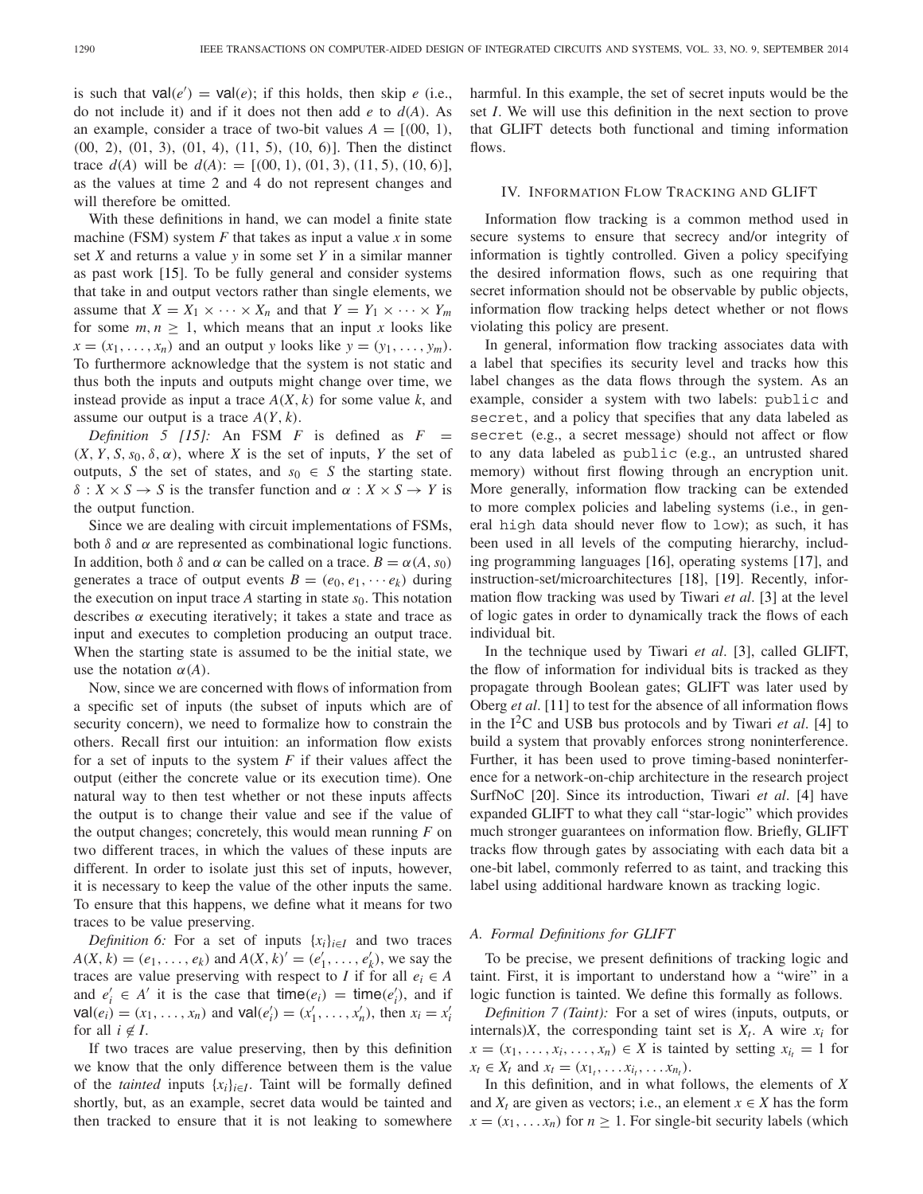is such that  $val(e') = val(e)$ ; if this holds, then skip *e* (i.e., do not include it) and if it does not then add *e* to *d*(*A*). As an example, consider a trace of two-bit values  $A = [(00, 1),$ (00, 2), (01, 3), (01, 4), (11, 5), (10, 6)]. Then the distinct trace  $d(A)$  will be  $d(A)$ : =  $[(00, 1), (01, 3), (11, 5), (10, 6)],$ as the values at time 2 and 4 do not represent changes and will therefore be omitted.

With these definitions in hand, we can model a finite state machine (FSM) system  $F$  that takes as input a value  $x$  in some set *X* and returns a value *y* in some set *Y* in a similar manner as past work [15]. To be fully general and consider systems that take in and output vectors rather than single elements, we assume that  $X = X_1 \times \cdots \times X_n$  and that  $Y = Y_1 \times \cdots \times Y_m$ for some  $m, n \geq 1$ , which means that an input *x* looks like  $x = (x_1, \ldots, x_n)$  and an output *y* looks like  $y = (y_1, \ldots, y_m)$ . To furthermore acknowledge that the system is not static and thus both the inputs and outputs might change over time, we instead provide as input a trace  $A(X, k)$  for some value  $k$ , and assume our output is a trace *A*(*Y*, *k*).

*Definition 5 [15]:* An FSM *F* is defined as  $F =$  $(X, Y, S, s_0, \delta, \alpha)$ , where *X* is the set of inputs, *Y* the set of outputs, *S* the set of states, and  $s_0 \in S$  the starting state.  $\delta$  :  $X \times S \rightarrow S$  is the transfer function and  $\alpha$  :  $X \times S \rightarrow Y$  is the output function.

Since we are dealing with circuit implementations of FSMs, both  $\delta$  and  $\alpha$  are represented as combinational logic functions. In addition, both  $\delta$  and  $\alpha$  can be called on a trace.  $B = \alpha(A, s_0)$ generates a trace of output events  $B = (e_0, e_1, \dots, e_k)$  during the execution on input trace  $A$  starting in state  $s<sub>0</sub>$ . This notation describes  $\alpha$  executing iteratively; it takes a state and trace as input and executes to completion producing an output trace. When the starting state is assumed to be the initial state, we use the notation  $\alpha(A)$ .

Now, since we are concerned with flows of information from a specific set of inputs (the subset of inputs which are of security concern), we need to formalize how to constrain the others. Recall first our intuition: an information flow exists for a set of inputs to the system *F* if their values affect the output (either the concrete value or its execution time). One natural way to then test whether or not these inputs affects the output is to change their value and see if the value of the output changes; concretely, this would mean running *F* on two different traces, in which the values of these inputs are different. In order to isolate just this set of inputs, however, it is necessary to keep the value of the other inputs the same. To ensure that this happens, we define what it means for two traces to be value preserving.

*Definition 6:* For a set of inputs  $\{x_i\}_{i \in I}$  and two traces  $A(X, k) = (e_1, \ldots, e_k)$  and  $A(X, k)' = (e'_1, \ldots, e'_k)$ , we say the traces are value preserving with respect to *I* if for all  $e_i \in A$ and  $e'_i \in A'$  it is the case that  $\text{time}(e_i) = \text{time}(e'_i)$ , and if  $\text{val}(e_i) = (x_1, \ldots, x_n) \text{ and } \text{val}(e'_i) = (x'_1, \ldots, x'_n), \text{ then } x_i = x'_i$ for all  $i \notin I$ .

If two traces are value preserving, then by this definition we know that the only difference between them is the value of the *tainted* inputs  $\{x_i\}_{i \in I}$ . Taint will be formally defined shortly, but, as an example, secret data would be tainted and then tracked to ensure that it is not leaking to somewhere harmful. In this example, the set of secret inputs would be the set *I*. We will use this definition in the next section to prove that GLIFT detects both functional and timing information flows.

# IV. INFORMATION FLOW TRACKING AND GLIFT

Information flow tracking is a common method used in secure systems to ensure that secrecy and/or integrity of information is tightly controlled. Given a policy specifying the desired information flows, such as one requiring that secret information should not be observable by public objects, information flow tracking helps detect whether or not flows violating this policy are present.

In general, information flow tracking associates data with a label that specifies its security level and tracks how this label changes as the data flows through the system. As an example, consider a system with two labels: public and secret, and a policy that specifies that any data labeled as secret (e.g., a secret message) should not affect or flow to any data labeled as public (e.g., an untrusted shared memory) without first flowing through an encryption unit. More generally, information flow tracking can be extended to more complex policies and labeling systems (i.e., in general high data should never flow to low); as such, it has been used in all levels of the computing hierarchy, including programming languages [16], operating systems [17], and instruction-set/microarchitectures [18], [19]. Recently, information flow tracking was used by Tiwari *et al*. [3] at the level of logic gates in order to dynamically track the flows of each individual bit.

In the technique used by Tiwari *et al*. [3], called GLIFT, the flow of information for individual bits is tracked as they propagate through Boolean gates; GLIFT was later used by Oberg *et al*. [11] to test for the absence of all information flows in the I2C and USB bus protocols and by Tiwari *et al*. [4] to build a system that provably enforces strong noninterference. Further, it has been used to prove timing-based noninterference for a network-on-chip architecture in the research project SurfNoC [20]. Since its introduction, Tiwari *et al*. [4] have expanded GLIFT to what they call "star-logic" which provides much stronger guarantees on information flow. Briefly, GLIFT tracks flow through gates by associating with each data bit a one-bit label, commonly referred to as taint, and tracking this label using additional hardware known as tracking logic.

#### *A. Formal Definitions for GLIFT*

To be precise, we present definitions of tracking logic and taint. First, it is important to understand how a "wire" in a logic function is tainted. We define this formally as follows.

*Definition 7 (Taint):* For a set of wires (inputs, outputs, or internals) $X$ , the corresponding taint set is  $X_t$ . A wire  $x_i$  for  $x = (x_1, \ldots, x_i, \ldots, x_n) \in X$  is tainted by setting  $x_{i_t} = 1$  for  $x_t \in X_t$  and  $x_t = (x_{1_t}, \ldots, x_{i_t}, \ldots, x_{n_t}).$ 

In this definition, and in what follows, the elements of *X* and  $X_t$  are given as vectors; i.e., an element  $x \in X$  has the form  $x = (x_1, \ldots, x_n)$  for  $n \geq 1$ . For single-bit security labels (which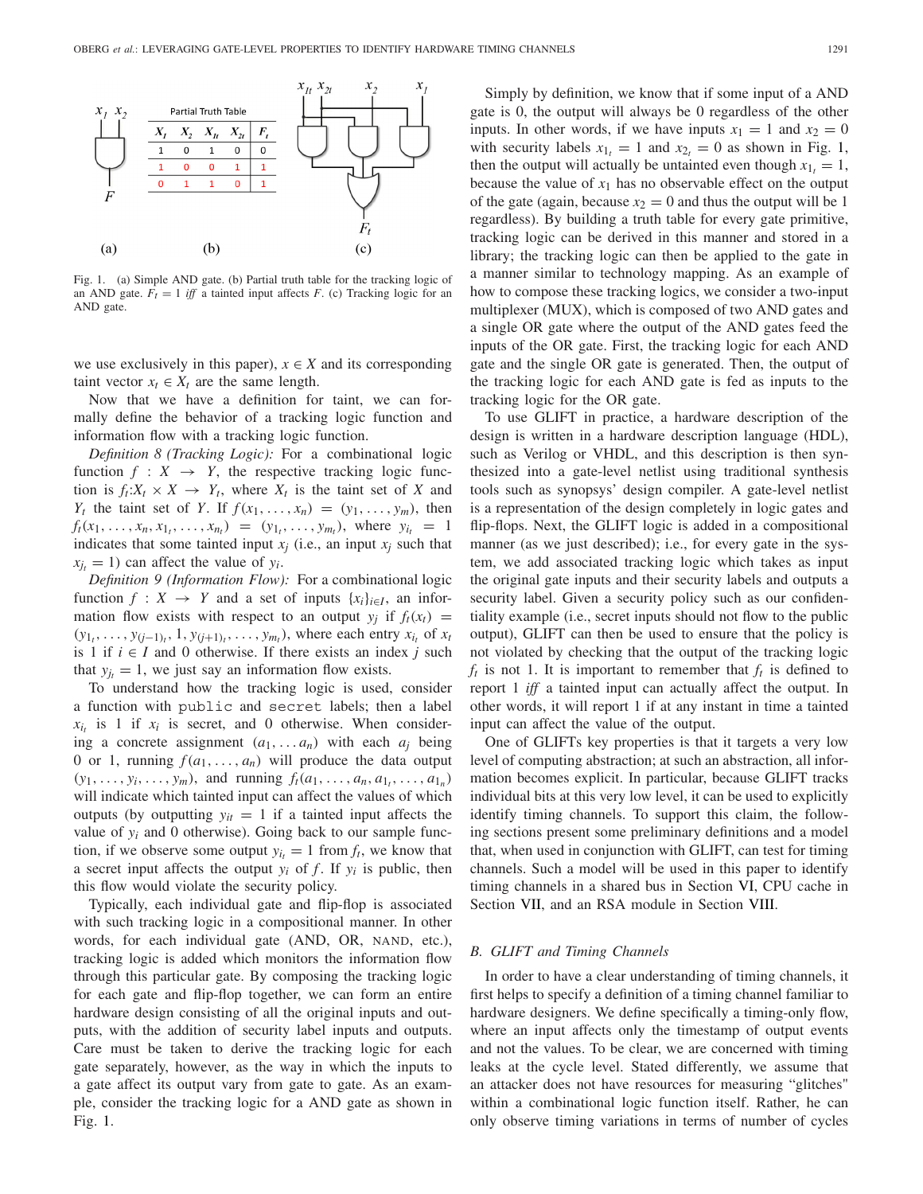

Fig. 1. (a) Simple AND gate. (b) Partial truth table for the tracking logic of an AND gate.  $F_t = 1$  *iff* a tainted input affects *F*. (c) Tracking logic for an AND gate.

we use exclusively in this paper),  $x \in X$  and its corresponding taint vector  $x_t \in X_t$  are the same length.

Now that we have a definition for taint, we can formally define the behavior of a tracking logic function and information flow with a tracking logic function.

*Definition 8 (Tracking Logic):* For a combinational logic function  $f : X \rightarrow Y$ , the respective tracking logic function is  $f_t: X_t \times X \to Y_t$ , where  $X_t$  is the taint set of X and *Y<sub>t</sub>* the taint set of *Y*. If  $f(x_1, \ldots, x_n) = (y_1, \ldots, y_m)$ , then  $f_t(x_1, \ldots, x_n, x_{1_t}, \ldots, x_{n_t}) = (y_{1_t}, \ldots, y_{m_t}),$  where  $y_{i_t} = 1$ indicates that some tainted input  $x_i$  (i.e., an input  $x_i$  such that  $x_{i} = 1$ ) can affect the value of  $y_i$ .

*Definition 9 (Information Flow):* For a combinational logic function  $f : X \to Y$  and a set of inputs  $\{x_i\}_{i \in I}$ , an information flow exists with respect to an output  $y_i$  if  $f_t(x_t)$  =  $(y_{1t},..., y_{(i-1)t}, 1, y_{(i+1)t},..., y_{m_t})$ , where each entry  $x_{i_t}$  of  $x_t$ is 1 if *i* ∈ *I* and 0 otherwise. If there exists an index *j* such that  $y_{j_t} = 1$ , we just say an information flow exists.

To understand how the tracking logic is used, consider a function with public and secret labels; then a label  $x_{i_t}$  is 1 if  $x_i$  is secret, and 0 otherwise. When considering a concrete assignment  $(a_1, \ldots, a_n)$  with each  $a_j$  being 0 or 1, running  $f(a_1, \ldots, a_n)$  will produce the data output  $(y_1, \ldots, y_i, \ldots, y_m)$ , and running  $f_t(a_1, \ldots, a_n, a_1, \ldots, a_1, a_1)$ will indicate which tainted input can affect the values of which outputs (by outputting  $y_{it} = 1$  if a tainted input affects the value of  $y_i$  and 0 otherwise). Going back to our sample function, if we observe some output  $y_{i} = 1$  from  $f_t$ , we know that a secret input affects the output  $y_i$  of  $f$ . If  $y_i$  is public, then this flow would violate the security policy.

Typically, each individual gate and flip-flop is associated with such tracking logic in a compositional manner. In other words, for each individual gate (AND, OR, NAND, etc.), tracking logic is added which monitors the information flow through this particular gate. By composing the tracking logic for each gate and flip-flop together, we can form an entire hardware design consisting of all the original inputs and outputs, with the addition of security label inputs and outputs. Care must be taken to derive the tracking logic for each gate separately, however, as the way in which the inputs to a gate affect its output vary from gate to gate. As an example, consider the tracking logic for a AND gate as shown in Fig. 1.

Simply by definition, we know that if some input of a AND gate is 0, the output will always be 0 regardless of the other inputs. In other words, if we have inputs  $x_1 = 1$  and  $x_2 = 0$ with security labels  $x_{1t} = 1$  and  $x_{2t} = 0$  as shown in Fig. 1, then the output will actually be untainted even though  $x_{1t} = 1$ , because the value of  $x_1$  has no observable effect on the output of the gate (again, because  $x_2 = 0$  and thus the output will be 1 regardless). By building a truth table for every gate primitive, tracking logic can be derived in this manner and stored in a library; the tracking logic can then be applied to the gate in a manner similar to technology mapping. As an example of how to compose these tracking logics, we consider a two-input multiplexer (MUX), which is composed of two AND gates and a single OR gate where the output of the AND gates feed the inputs of the OR gate. First, the tracking logic for each AND gate and the single OR gate is generated. Then, the output of the tracking logic for each AND gate is fed as inputs to the tracking logic for the OR gate.

To use GLIFT in practice, a hardware description of the design is written in a hardware description language (HDL), such as Verilog or VHDL, and this description is then synthesized into a gate-level netlist using traditional synthesis tools such as synopsys' design compiler. A gate-level netlist is a representation of the design completely in logic gates and flip-flops. Next, the GLIFT logic is added in a compositional manner (as we just described); i.e., for every gate in the system, we add associated tracking logic which takes as input the original gate inputs and their security labels and outputs a security label. Given a security policy such as our confidentiality example (i.e., secret inputs should not flow to the public output), GLIFT can then be used to ensure that the policy is not violated by checking that the output of the tracking logic  $f_t$  is not 1. It is important to remember that  $f_t$  is defined to report 1 *iff* a tainted input can actually affect the output. In other words, it will report 1 if at any instant in time a tainted input can affect the value of the output.

One of GLIFTs key properties is that it targets a very low level of computing abstraction; at such an abstraction, all information becomes explicit. In particular, because GLIFT tracks individual bits at this very low level, it can be used to explicitly identify timing channels. To support this claim, the following sections present some preliminary definitions and a model that, when used in conjunction with GLIFT, can test for timing channels. Such a model will be used in this paper to identify timing channels in a shared bus in Section VI, CPU cache in Section VII, and an RSA module in Section VIII.

# *B. GLIFT and Timing Channels*

In order to have a clear understanding of timing channels, it first helps to specify a definition of a timing channel familiar to hardware designers. We define specifically a timing-only flow, where an input affects only the timestamp of output events and not the values. To be clear, we are concerned with timing leaks at the cycle level. Stated differently, we assume that an attacker does not have resources for measuring "glitches" within a combinational logic function itself. Rather, he can only observe timing variations in terms of number of cycles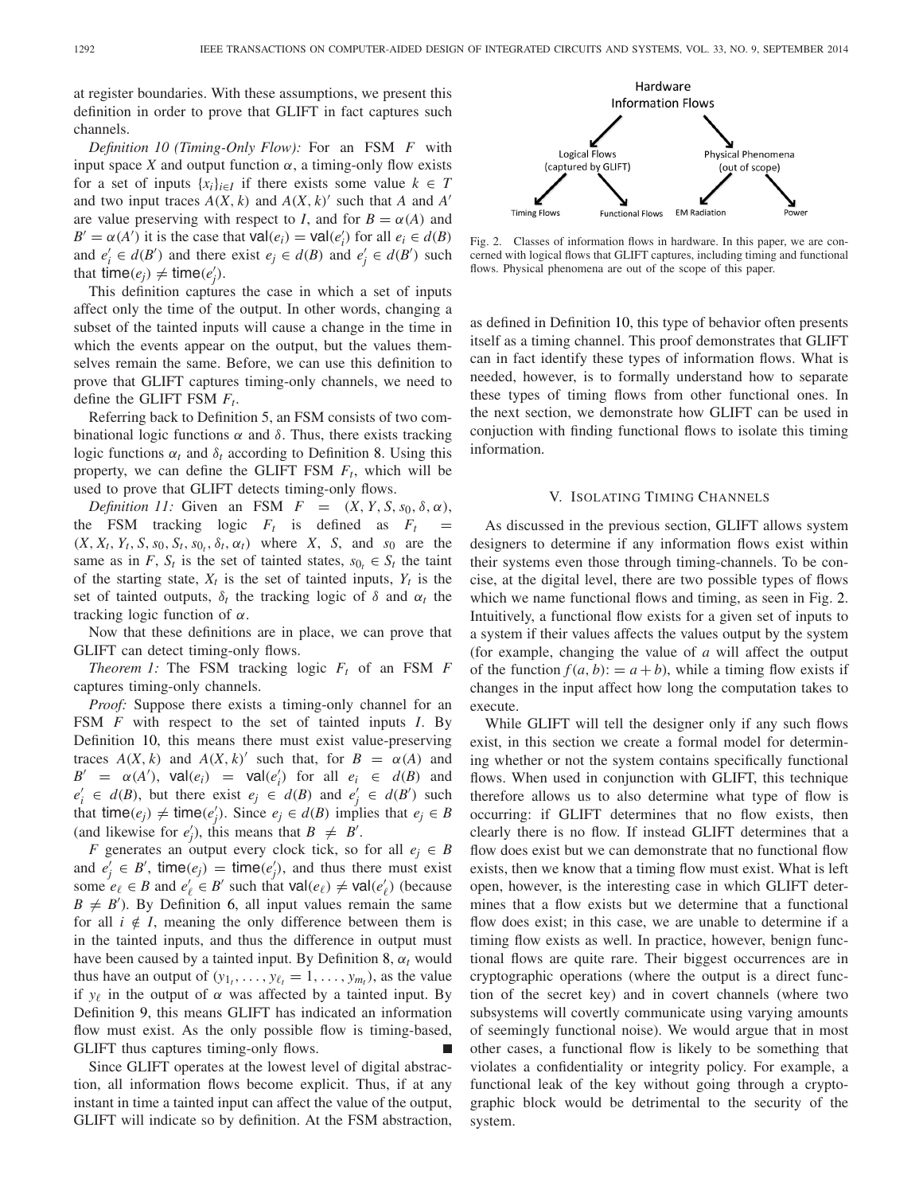at register boundaries. With these assumptions, we present this definition in order to prove that GLIFT in fact captures such channels.

*Definition 10 (Timing-Only Flow):* For an FSM *F* with input space *X* and output function  $\alpha$ , a timing-only flow exists for a set of inputs  $\{x_i\}_{i \in I}$  if there exists some value  $k \in T$ and two input traces  $A(X, k)$  and  $A(X, k)'$  such that A and  $A'$ are value preserving with respect to *I*, and for  $B = \alpha(A)$  and  $B' = \alpha(A')$  it is the case that  $\text{val}(e_i) = \text{val}(e'_i)$  for all  $e_i \in d(B)$ and  $e'_i \in d(B')$  and there exist  $e_j \in d(B)$  and  $e'_j \in d(B')$  such that  $time(e_j) \neq time(e'_j)$ .

This definition captures the case in which a set of inputs affect only the time of the output. In other words, changing a subset of the tainted inputs will cause a change in the time in which the events appear on the output, but the values themselves remain the same. Before, we can use this definition to prove that GLIFT captures timing-only channels, we need to define the GLIFT FSM *Ft*.

Referring back to Definition 5, an FSM consists of two combinational logic functions  $\alpha$  and  $\delta$ . Thus, there exists tracking logic functions  $\alpha_t$  and  $\delta_t$  according to Definition 8. Using this property, we can define the GLIFT FSM  $F_t$ , which will be used to prove that GLIFT detects timing-only flows.

*Definition 11:* Given an FSM  $F = (X, Y, S, s_0, \delta, \alpha)$ , the FSM tracking logic  $F_t$  is defined as  $F_t$  $(X, X_t, Y_t, S, s_0, S_t, s_0, \delta_t, \alpha_t)$  where *X*, *S*, and *s*<sub>0</sub> are the same as in *F*,  $S_t$  is the set of tainted states,  $s_{0_t} \in S_t$  the taint of the starting state,  $X_t$  is the set of tainted inputs,  $Y_t$  is the set of tainted outputs,  $\delta_t$  the tracking logic of  $\delta$  and  $\alpha_t$  the tracking logic function of α.

Now that these definitions are in place, we can prove that GLIFT can detect timing-only flows.

*Theorem 1:* The FSM tracking logic  $F_t$  of an FSM  $F$ captures timing-only channels.

*Proof:* Suppose there exists a timing-only channel for an FSM *F* with respect to the set of tainted inputs *I*. By Definition 10, this means there must exist value-preserving traces  $A(X, k)$  and  $A(X, k)'$  such that, for  $B = \alpha(A)$  and  $B' = \alpha(A')$ ,  $\text{val}(e_i) = \text{val}(e'_i)$  for all  $e_i \in d(B)$  and  $e'_{i} \in d(B)$ , but there exist  $e_{j} \in d(B)$  and  $e'_{j} \in d(B')$  such that  $time(e_j) \neq time(e'_j)$ . Since  $e_j \in d(B)$  implies that  $e_j \in B$ (and likewise for  $e'_j$ ), this means that  $B \neq B'$ .

*F* generates an output every clock tick, so for all  $e_i \in B$ and  $e'_{j} \in B'$ , time( $e_{j}$ ) = time( $e'_{j}$ ), and thus there must exist some  $e_{\ell} \in B$  and  $e'_{\ell} \in B'$  such that  $val(e_{\ell}) \neq val(e'_{\ell})$  (because  $B \neq B'$ ). By Definition 6, all input values remain the same for all  $i \notin I$ , meaning the only difference between them is in the tainted inputs, and thus the difference in output must have been caused by a tainted input. By Definition 8,  $\alpha_t$  would thus have an output of  $(y_{1_t}, \ldots, y_{\ell_t} = 1, \ldots, y_{m_t})$ , as the value if  $y_\ell$  in the output of  $\alpha$  was affected by a tainted input. By Definition 9, this means GLIFT has indicated an information flow must exist. As the only possible flow is timing-based, GLIFT thus captures timing-only flows.

Since GLIFT operates at the lowest level of digital abstraction, all information flows become explicit. Thus, if at any instant in time a tainted input can affect the value of the output, GLIFT will indicate so by definition. At the FSM abstraction,



Fig. 2. Classes of information flows in hardware. In this paper, we are concerned with logical flows that GLIFT captures, including timing and functional flows. Physical phenomena are out of the scope of this paper.

as defined in Definition 10, this type of behavior often presents itself as a timing channel. This proof demonstrates that GLIFT can in fact identify these types of information flows. What is needed, however, is to formally understand how to separate these types of timing flows from other functional ones. In the next section, we demonstrate how GLIFT can be used in conjuction with finding functional flows to isolate this timing information.

# V. ISOLATING TIMING CHANNELS

As discussed in the previous section, GLIFT allows system designers to determine if any information flows exist within their systems even those through timing-channels. To be concise, at the digital level, there are two possible types of flows which we name functional flows and timing, as seen in Fig. 2. Intuitively, a functional flow exists for a given set of inputs to a system if their values affects the values output by the system (for example, changing the value of *a* will affect the output of the function  $f(a, b)$ : =  $a + b$ ), while a timing flow exists if changes in the input affect how long the computation takes to execute.

While GLIFT will tell the designer only if any such flows exist, in this section we create a formal model for determining whether or not the system contains specifically functional flows. When used in conjunction with GLIFT, this technique therefore allows us to also determine what type of flow is occurring: if GLIFT determines that no flow exists, then clearly there is no flow. If instead GLIFT determines that a flow does exist but we can demonstrate that no functional flow exists, then we know that a timing flow must exist. What is left open, however, is the interesting case in which GLIFT determines that a flow exists but we determine that a functional flow does exist; in this case, we are unable to determine if a timing flow exists as well. In practice, however, benign functional flows are quite rare. Their biggest occurrences are in cryptographic operations (where the output is a direct function of the secret key) and in covert channels (where two subsystems will covertly communicate using varying amounts of seemingly functional noise). We would argue that in most other cases, a functional flow is likely to be something that violates a confidentiality or integrity policy. For example, a functional leak of the key without going through a cryptographic block would be detrimental to the security of the system.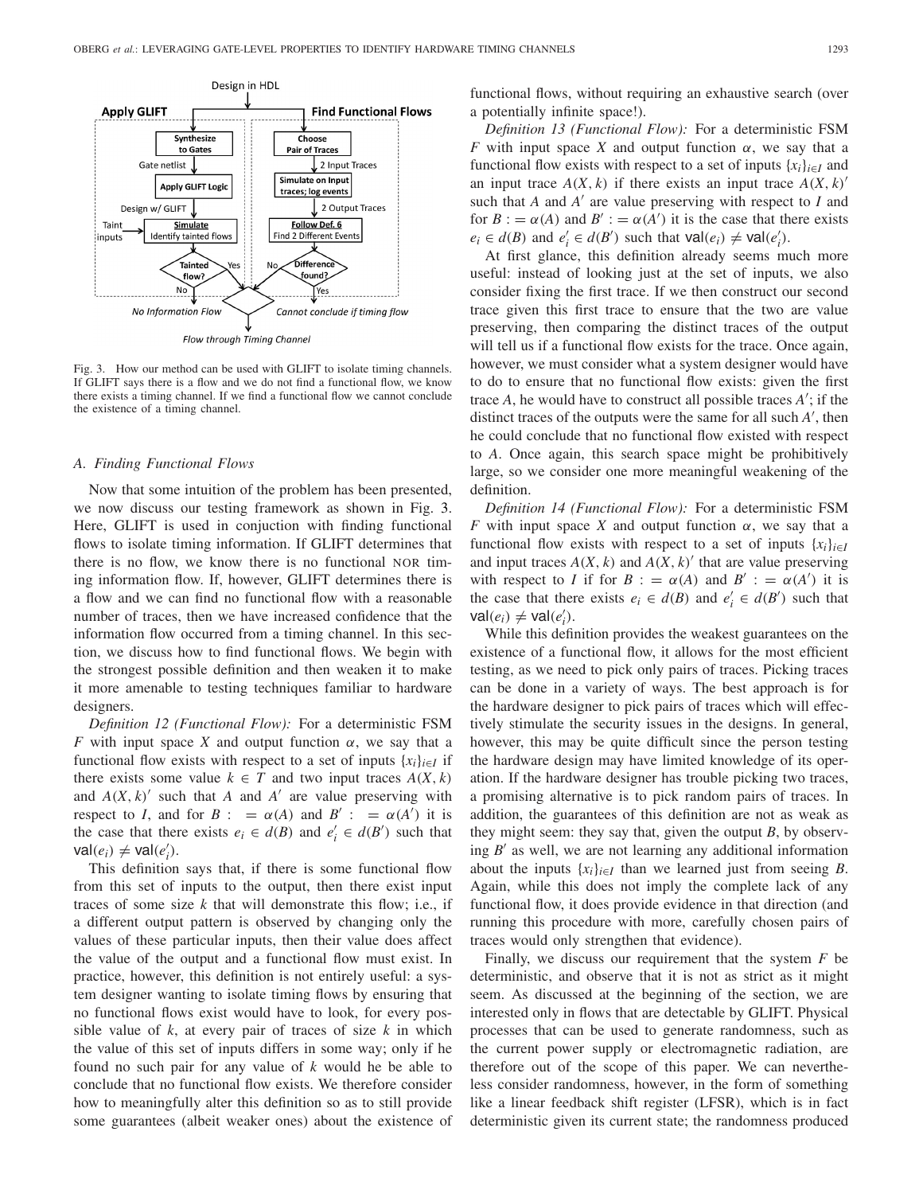

Fig. 3. How our method can be used with GLIFT to isolate timing channels. If GLIFT says there is a flow and we do not find a functional flow, we know there exists a timing channel. If we find a functional flow we cannot conclude the existence of a timing channel.

#### *A. Finding Functional Flows*

Now that some intuition of the problem has been presented, we now discuss our testing framework as shown in Fig. 3. Here, GLIFT is used in conjuction with finding functional flows to isolate timing information. If GLIFT determines that there is no flow, we know there is no functional NOR timing information flow. If, however, GLIFT determines there is a flow and we can find no functional flow with a reasonable number of traces, then we have increased confidence that the information flow occurred from a timing channel. In this section, we discuss how to find functional flows. We begin with the strongest possible definition and then weaken it to make it more amenable to testing techniques familiar to hardware designers.

*Definition 12 (Functional Flow):* For a deterministic FSM *F* with input space *X* and output function  $\alpha$ , we say that a functional flow exists with respect to a set of inputs  $\{x_i\}_{i \in I}$  if there exists some value  $k \in T$  and two input traces  $A(X, k)$ and  $A(X, k)$  such that A and A' are value preserving with respect to *I*, and for *B* : =  $\alpha(A)$  and *B'* : =  $\alpha(A')$  it is the case that there exists  $e_i \in d(B)$  and  $e'_i \in d(B')$  such that  $\mathsf{val}(e_i) \neq \mathsf{val}(e'_i).$ 

This definition says that, if there is some functional flow from this set of inputs to the output, then there exist input traces of some size  $k$  that will demonstrate this flow; i.e., if a different output pattern is observed by changing only the values of these particular inputs, then their value does affect the value of the output and a functional flow must exist. In practice, however, this definition is not entirely useful: a system designer wanting to isolate timing flows by ensuring that no functional flows exist would have to look, for every possible value of *k*, at every pair of traces of size *k* in which the value of this set of inputs differs in some way; only if he found no such pair for any value of *k* would he be able to conclude that no functional flow exists. We therefore consider how to meaningfully alter this definition so as to still provide some guarantees (albeit weaker ones) about the existence of functional flows, without requiring an exhaustive search (over a potentially infinite space!).

*Definition 13 (Functional Flow):* For a deterministic FSM *F* with input space *X* and output function  $\alpha$ , we say that a functional flow exists with respect to a set of inputs  $\{x_i\}_{i \in I}$  and an input trace  $A(X, k)$  if there exists an input trace  $A(X, k)$ such that *A* and *A* are value preserving with respect to *I* and for  $B := \alpha(A)$  and  $B' := \alpha(A')$  it is the case that there exists  $e_i \in d(B)$  and  $e'_i \in d(B')$  such that  $\text{val}(e_i) \neq \text{val}(e'_i)$ .

At first glance, this definition already seems much more useful: instead of looking just at the set of inputs, we also consider fixing the first trace. If we then construct our second trace given this first trace to ensure that the two are value preserving, then comparing the distinct traces of the output will tell us if a functional flow exists for the trace. Once again, however, we must consider what a system designer would have to do to ensure that no functional flow exists: given the first trace *A*, he would have to construct all possible traces *A* ; if the distinct traces of the outputs were the same for all such *A* , then he could conclude that no functional flow existed with respect to *A*. Once again, this search space might be prohibitively large, so we consider one more meaningful weakening of the definition.

*Definition 14 (Functional Flow):* For a deterministic FSM *F* with input space *X* and output function  $\alpha$ , we say that a functional flow exists with respect to a set of inputs  $\{x_i\}_{i \in I}$ and input traces  $A(X, k)$  and  $A(X, k)'$  that are value preserving with respect to *I* if for  $B := \alpha(A)$  and  $B' := \alpha(A')$  it is the case that there exists  $e_i \in d(B)$  and  $e'_i \in d(B')$  such that  $\mathsf{val}(e_i) \neq \mathsf{val}(e'_i).$ 

While this definition provides the weakest guarantees on the existence of a functional flow, it allows for the most efficient testing, as we need to pick only pairs of traces. Picking traces can be done in a variety of ways. The best approach is for the hardware designer to pick pairs of traces which will effectively stimulate the security issues in the designs. In general, however, this may be quite difficult since the person testing the hardware design may have limited knowledge of its operation. If the hardware designer has trouble picking two traces, a promising alternative is to pick random pairs of traces. In addition, the guarantees of this definition are not as weak as they might seem: they say that, given the output *B*, by observing  $B'$  as well, we are not learning any additional information about the inputs  $\{x_i\}_{i \in I}$  than we learned just from seeing *B*. Again, while this does not imply the complete lack of any functional flow, it does provide evidence in that direction (and running this procedure with more, carefully chosen pairs of traces would only strengthen that evidence).

Finally, we discuss our requirement that the system *F* be deterministic, and observe that it is not as strict as it might seem. As discussed at the beginning of the section, we are interested only in flows that are detectable by GLIFT. Physical processes that can be used to generate randomness, such as the current power supply or electromagnetic radiation, are therefore out of the scope of this paper. We can nevertheless consider randomness, however, in the form of something like a linear feedback shift register (LFSR), which is in fact deterministic given its current state; the randomness produced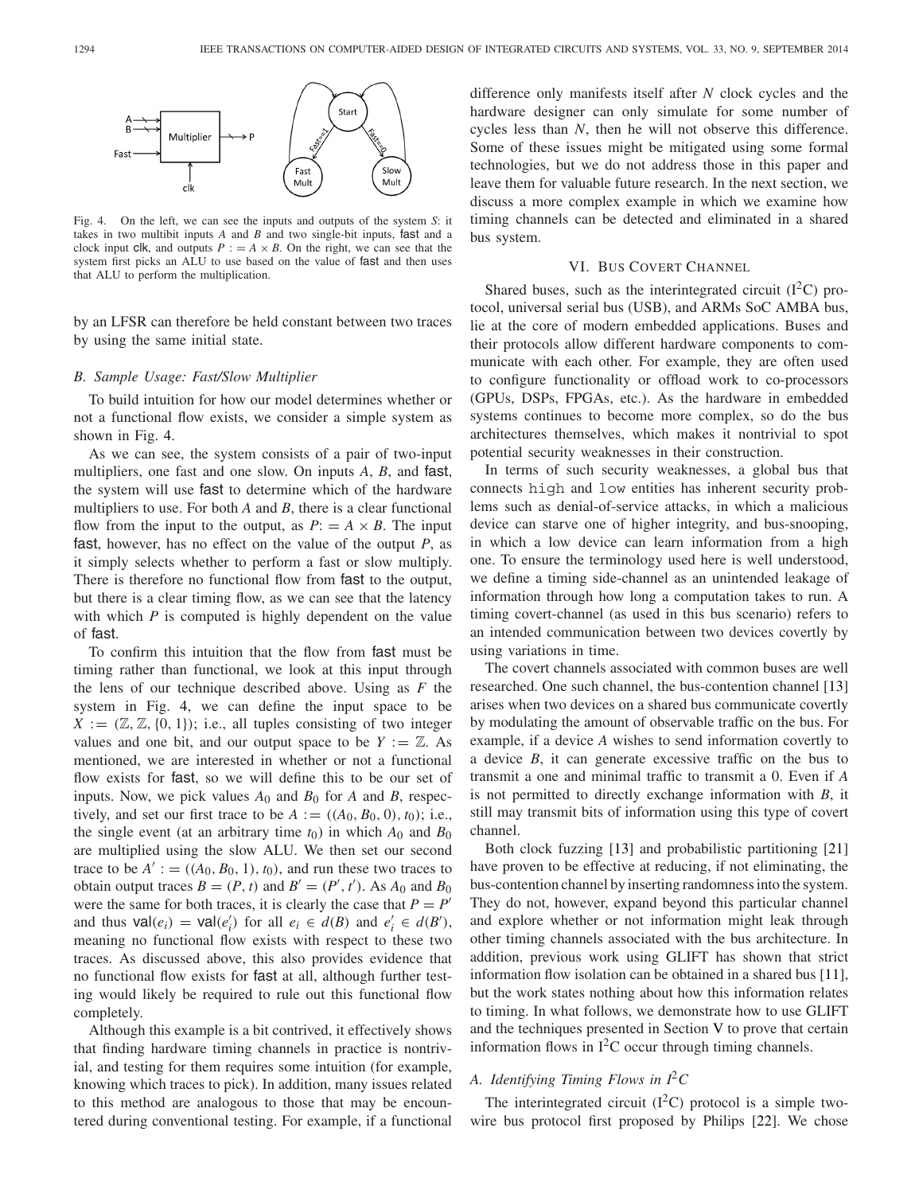

Fig. 4. On the left, we can see the inputs and outputs of the system *S*: it takes in two multibit inputs *A* and *B* and two single-bit inputs, fast and a clock input clk, and outputs  $P := A \times B$ . On the right, we can see that the system first picks an ALU to use based on the value of fast and then uses that ALU to perform the multiplication.

by an LFSR can therefore be held constant between two traces by using the same initial state.

#### *B. Sample Usage: Fast/Slow Multiplier*

To build intuition for how our model determines whether or not a functional flow exists, we consider a simple system as shown in Fig. 4.

As we can see, the system consists of a pair of two-input multipliers, one fast and one slow. On inputs *A*, *B*, and fast, the system will use fast to determine which of the hardware multipliers to use. For both *A* and *B*, there is a clear functional flow from the input to the output, as  $P: = A \times B$ . The input fast, however, has no effect on the value of the output *P*, as it simply selects whether to perform a fast or slow multiply. There is therefore no functional flow from fast to the output, but there is a clear timing flow, as we can see that the latency with which *P* is computed is highly dependent on the value of fast.

To confirm this intuition that the flow from fast must be timing rather than functional, we look at this input through the lens of our technique described above. Using as *F* the system in Fig. 4, we can define the input space to be  $X := (\mathbb{Z}, \mathbb{Z}, \{0, 1\})$ ; i.e., all tuples consisting of two integer values and one bit, and our output space to be  $Y := \mathbb{Z}$ . As mentioned, we are interested in whether or not a functional flow exists for fast, so we will define this to be our set of inputs. Now, we pick values  $A_0$  and  $B_0$  for  $A$  and  $B$ , respectively, and set our first trace to be  $A := ((A_0, B_0, 0), t_0)$ ; i.e., the single event (at an arbitrary time  $t_0$ ) in which  $A_0$  and  $B_0$ are multiplied using the slow ALU. We then set our second trace to be  $A'$  : =  $((A_0, B_0, 1), t_0)$ , and run these two traces to obtain output traces  $B = (P, t)$  and  $B' = (P', t')$ . As  $A_0$  and  $B_0$ were the same for both traces, it is clearly the case that  $P = P'$ and thus  $val(e_i) = val(e'_i)$  for all  $e_i \in d(B)$  and  $e'_i \in d(B')$ , meaning no functional flow exists with respect to these two traces. As discussed above, this also provides evidence that no functional flow exists for fast at all, although further testing would likely be required to rule out this functional flow completely.

Although this example is a bit contrived, it effectively shows that finding hardware timing channels in practice is nontrivial, and testing for them requires some intuition (for example, knowing which traces to pick). In addition, many issues related to this method are analogous to those that may be encountered during conventional testing. For example, if a functional difference only manifests itself after *N* clock cycles and the hardware designer can only simulate for some number of cycles less than *N*, then he will not observe this difference. Some of these issues might be mitigated using some formal technologies, but we do not address those in this paper and leave them for valuable future research. In the next section, we discuss a more complex example in which we examine how timing channels can be detected and eliminated in a shared bus system.

# VI. BUS COVERT CHANNEL

Shared buses, such as the interintegrated circuit  $(I<sup>2</sup>C)$  protocol, universal serial bus (USB), and ARMs SoC AMBA bus, lie at the core of modern embedded applications. Buses and their protocols allow different hardware components to communicate with each other. For example, they are often used to configure functionality or offload work to co-processors (GPUs, DSPs, FPGAs, etc.). As the hardware in embedded systems continues to become more complex, so do the bus architectures themselves, which makes it nontrivial to spot potential security weaknesses in their construction.

In terms of such security weaknesses, a global bus that connects high and low entities has inherent security problems such as denial-of-service attacks, in which a malicious device can starve one of higher integrity, and bus-snooping, in which a low device can learn information from a high one. To ensure the terminology used here is well understood, we define a timing side-channel as an unintended leakage of information through how long a computation takes to run. A timing covert-channel (as used in this bus scenario) refers to an intended communication between two devices covertly by using variations in time.

The covert channels associated with common buses are well researched. One such channel, the bus-contention channel [13] arises when two devices on a shared bus communicate covertly by modulating the amount of observable traffic on the bus. For example, if a device *A* wishes to send information covertly to a device *B*, it can generate excessive traffic on the bus to transmit a one and minimal traffic to transmit a 0. Even if *A* is not permitted to directly exchange information with *B*, it still may transmit bits of information using this type of covert channel.

Both clock fuzzing [13] and probabilistic partitioning [21] have proven to be effective at reducing, if not eliminating, the bus-contention channel by inserting randomness into the system. They do not, however, expand beyond this particular channel and explore whether or not information might leak through other timing channels associated with the bus architecture. In addition, previous work using GLIFT has shown that strict information flow isolation can be obtained in a shared bus [11], but the work states nothing about how this information relates to timing. In what follows, we demonstrate how to use GLIFT and the techniques presented in Section V to prove that certain information flows in  $I^2C$  occur through timing channels.

# *A. Identifying Timing Flows in I*2*C*

The interintegrated circuit  $(I<sup>2</sup>C)$  protocol is a simple twowire bus protocol first proposed by Philips [22]. We chose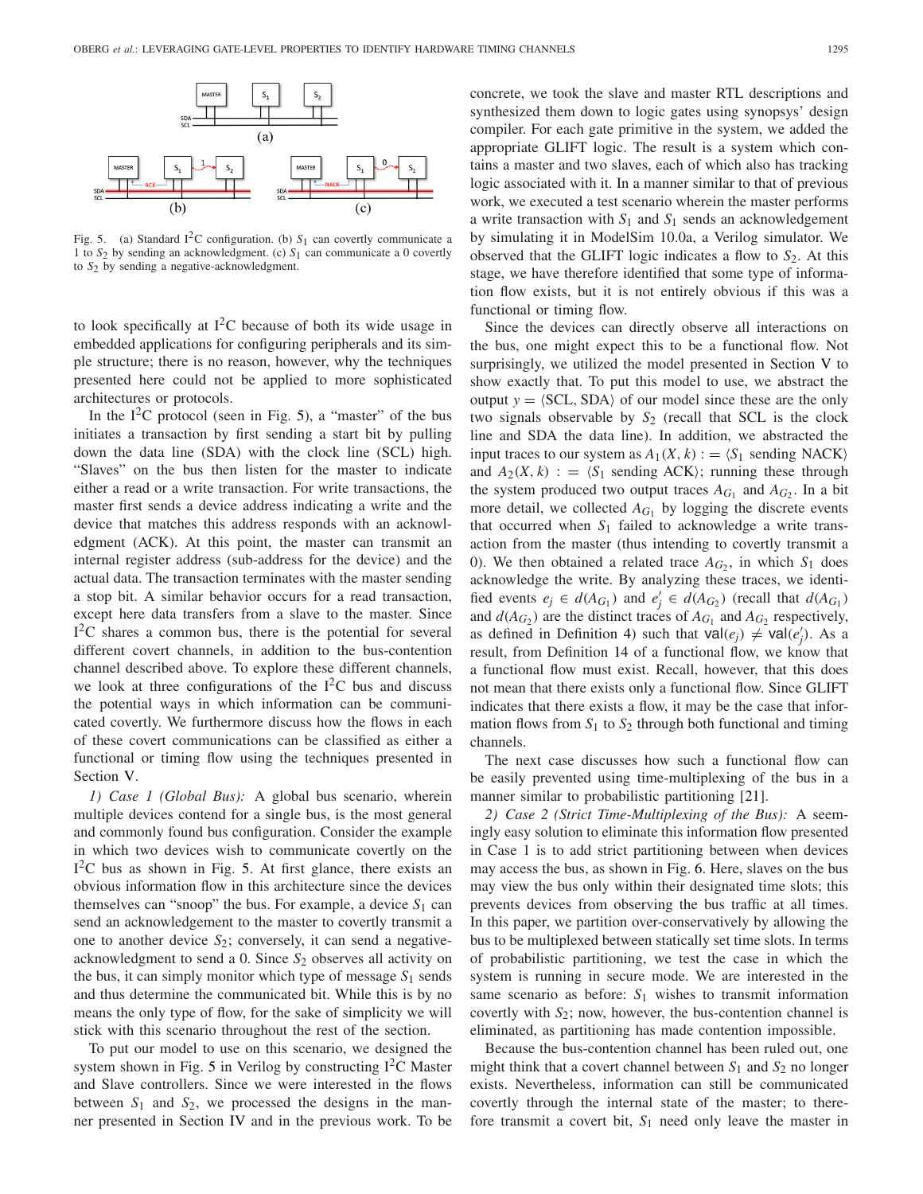

Fig. 5. (a) Standard I<sup>2</sup>C configuration. (b)  $S_1$  can covertly communicate a 1 to *S*2 by sending an acknowledgment. (c) *S*1 can communicate a 0 covertly to *S*2 by sending a negative-acknowledgment.

to look specifically at  $I^2C$  because of both its wide usage in embedded applications for configuring peripherals and its simple structure; there is no reason, however, why the techniques presented here could not be applied to more sophisticated architectures or protocols.

In the I<sup>2</sup>C protocol (seen in Fig. 5), a "master" of the bus initiates a transaction by first sending a start bit by pulling down the data line (SDA) with the clock line (SCL) high. "Slaves" on the bus then listen for the master to indicate either a read or a write transaction. For write transactions, the master first sends a device address indicating a write and the device that matches this address responds with an acknowledgment (ACK). At this point, the master can transmit an internal register address (sub-address for the device) and the actual data. The transaction terminates with the master sending a stop bit. A similar behavior occurs for a read transaction, except here data transfers from a slave to the master. Since  $I<sup>2</sup>C$  shares a common bus, there is the potential for several different covert channels, in addition to the bus-contention channel described above. To explore these different channels, we look at three configurations of the  $I<sup>2</sup>C$  bus and discuss the potential ways in which information can be communicated covertly. We furthermore discuss how the flows in each of these covert communications can be classified as either a functional or timing flow using the techniques presented in Section V.

*1) Case 1 (Global Bus):* A global bus scenario, wherein multiple devices contend for a single bus, is the most general and commonly found bus configuration. Consider the example in which two devices wish to communicate covertly on the  $I<sup>2</sup>C$  bus as shown in Fig. 5. At first glance, there exists an obvious information flow in this architecture since the devices themselves can "snoop" the bus. For example, a device  $S_1$  can send an acknowledgement to the master to covertly transmit a one to another device *S*2; conversely, it can send a negativeacknowledgment to send a 0. Since *S*<sup>2</sup> observes all activity on the bus, it can simply monitor which type of message  $S_1$  sends and thus determine the communicated bit. While this is by no means the only type of flow, for the sake of simplicity we will stick with this scenario throughout the rest of the section.

To put our model to use on this scenario, we designed the system shown in Fig. 5 in Verilog by constructing  $I<sup>2</sup>C$  Master and Slave controllers. Since we were interested in the flows between  $S_1$  and  $S_2$ , we processed the designs in the manner presented in Section IV and in the previous work. To be concrete, we took the slave and master RTL descriptions and synthesized them down to logic gates using synopsys' design compiler. For each gate primitive in the system, we added the appropriate GLIFT logic. The result is a system which contains a master and two slaves, each of which also has tracking logic associated with it. In a manner similar to that of previous work, we executed a test scenario wherein the master performs a write transaction with *S*<sup>1</sup> and *S*<sup>1</sup> sends an acknowledgement by simulating it in ModelSim 10.0a, a Verilog simulator. We observed that the GLIFT logic indicates a flow to  $S_2$ . At this stage, we have therefore identified that some type of information flow exists, but it is not entirely obvious if this was a functional or timing flow.

Since the devices can directly observe all interactions on the bus, one might expect this to be a functional flow. Not surprisingly, we utilized the model presented in Section V to show exactly that. To put this model to use, we abstract the output  $y = \langle \text{SCL}, \text{SDA} \rangle$  of our model since these are the only two signals observable by  $S_2$  (recall that SCL is the clock line and SDA the data line). In addition, we abstracted the input traces to our system as  $A_1(X, k) := \langle S_1 \rangle$  sending NACK $\rangle$ and  $A_2(X, k)$  : =  $\langle S_1 \rangle$  sending ACK $\rangle$ ; running these through the system produced two output traces  $A_{G_1}$  and  $A_{G_2}$ . In a bit more detail, we collected  $A_{G_1}$  by logging the discrete events that occurred when  $S_1$  failed to acknowledge a write transaction from the master (thus intending to covertly transmit a 0). We then obtained a related trace  $A_{G_2}$ , in which  $S_1$  does acknowledge the write. By analyzing these traces, we identified events  $e_j \in d(A_{G_1})$  and  $e'_j \in d(A_{G_2})$  (recall that  $d(A_{G_1})$ and  $d(A_{G_2})$  are the distinct traces of  $A_{G_1}$  and  $A_{G_2}$  respectively, as defined in Definition 4) such that  $\text{val}(e_j) \neq \text{val}(e'_j)$ . As a result, from Definition 14 of a functional flow, we know that a functional flow must exist. Recall, however, that this does not mean that there exists only a functional flow. Since GLIFT indicates that there exists a flow, it may be the case that information flows from  $S_1$  to  $S_2$  through both functional and timing channels.

The next case discusses how such a functional flow can be easily prevented using time-multiplexing of the bus in a manner similar to probabilistic partitioning [21].

*2) Case 2 (Strict Time-Multiplexing of the Bus):* A seemingly easy solution to eliminate this information flow presented in Case 1 is to add strict partitioning between when devices may access the bus, as shown in Fig. 6. Here, slaves on the bus may view the bus only within their designated time slots; this prevents devices from observing the bus traffic at all times. In this paper, we partition over-conservatively by allowing the bus to be multiplexed between statically set time slots. In terms of probabilistic partitioning, we test the case in which the system is running in secure mode. We are interested in the same scenario as before:  $S_1$  wishes to transmit information covertly with  $S_2$ ; now, however, the bus-contention channel is eliminated, as partitioning has made contention impossible.

Because the bus-contention channel has been ruled out, one might think that a covert channel between  $S_1$  and  $S_2$  no longer exists. Nevertheless, information can still be communicated covertly through the internal state of the master; to therefore transmit a covert bit, *S*<sup>1</sup> need only leave the master in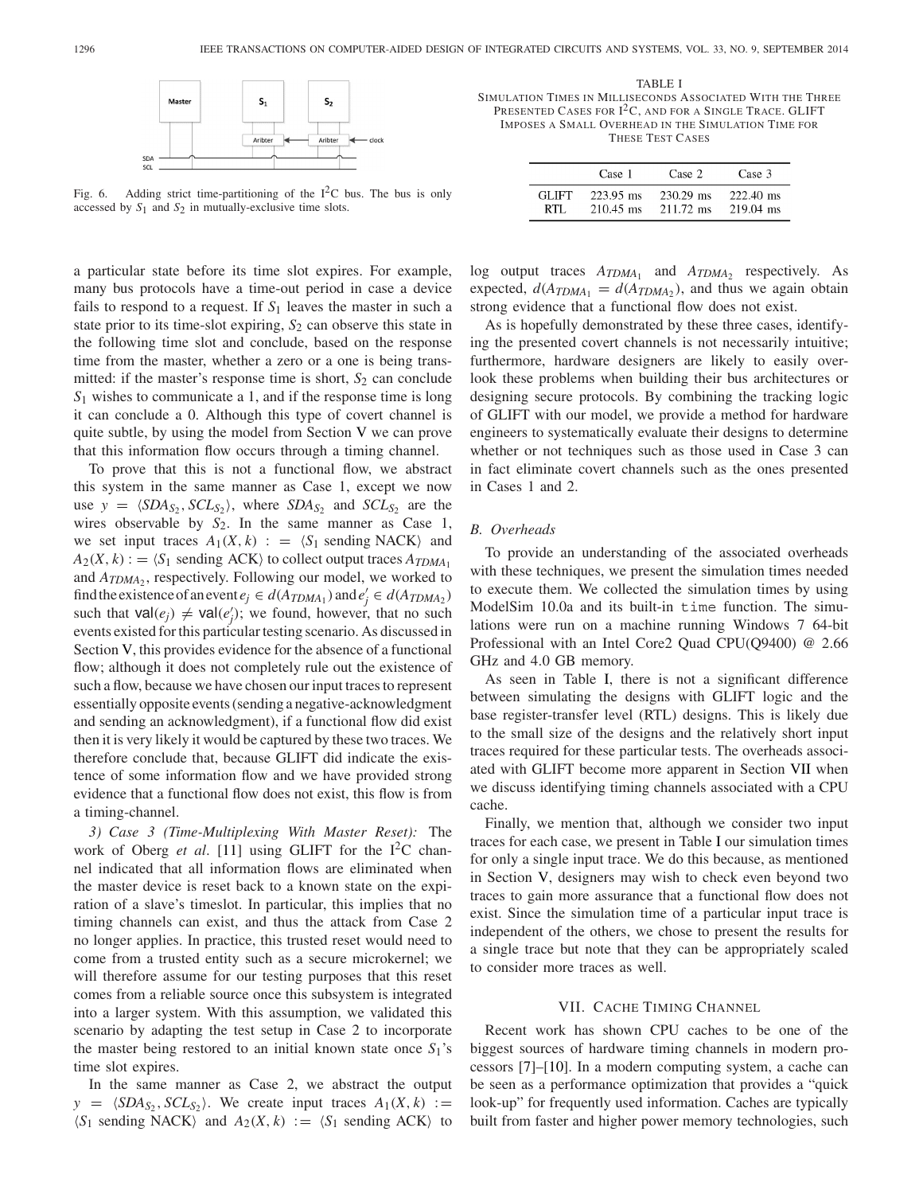

Fig. 6. Adding strict time-partitioning of the  $I^2C$  bus. The bus is only accessed by *S*1 and *S*2 in mutually-exclusive time slots.

a particular state before its time slot expires. For example, many bus protocols have a time-out period in case a device fails to respond to a request. If  $S_1$  leaves the master in such a state prior to its time-slot expiring,  $S_2$  can observe this state in the following time slot and conclude, based on the response time from the master, whether a zero or a one is being transmitted: if the master's response time is short,  $S_2$  can conclude *S*<sup>1</sup> wishes to communicate a 1, and if the response time is long it can conclude a 0. Although this type of covert channel is quite subtle, by using the model from Section V we can prove that this information flow occurs through a timing channel.

To prove that this is not a functional flow, we abstract this system in the same manner as Case 1, except we now use  $y = \langle SDA_{S_2}, SCL_{S_2} \rangle$ , where  $SDA_{S_2}$  and  $SCL_{S_2}$  are the wires observable by  $S_2$ . In the same manner as Case 1, we set input traces  $A_1(X, k)$  :  $= \langle S_1 \rangle$  sending NACK and  $A_2(X, k) := \langle S_1 \text{ sending ACK} \rangle$  to collect output traces  $A_{TDMA_1}$ and  $A_{TDMA_2}$ , respectively. Following our model, we worked to find the existence of an event  $e_j \in d(A_{TDMA_1})$  and  $e'_j \in d(A_{TDMA_2})$ such that  $val(e_j) \neq val(e'_j)$ ; we found, however, that no such events existed for this particular testing scenario. As discussed in Section V, this provides evidence for the absence of a functional flow; although it does not completely rule out the existence of such a flow, because we have chosen our input traces to represent essentially opposite events (sending a negative-acknowledgment and sending an acknowledgment), if a functional flow did exist then it is very likely it would be captured by these two traces. We therefore conclude that, because GLIFT did indicate the existence of some information flow and we have provided strong evidence that a functional flow does not exist, this flow is from a timing-channel.

*3) Case 3 (Time-Multiplexing With Master Reset):* The work of Oberg *et al.* [11] using GLIFT for the  $I^2C$  channel indicated that all information flows are eliminated when the master device is reset back to a known state on the expiration of a slave's timeslot. In particular, this implies that no timing channels can exist, and thus the attack from Case 2 no longer applies. In practice, this trusted reset would need to come from a trusted entity such as a secure microkernel; we will therefore assume for our testing purposes that this reset comes from a reliable source once this subsystem is integrated into a larger system. With this assumption, we validated this scenario by adapting the test setup in Case 2 to incorporate the master being restored to an initial known state once *S*1's time slot expires.

In the same manner as Case 2, we abstract the output  $y = \langle SDA_{S_2}, SCL_{S_2} \rangle$ . We create input traces  $A_1(X, k) :=$  $\langle S_1 \rangle$  sending NACK and  $A_2(X, k) := \langle S_1 \rangle$  sending ACK to

TABLE I SIMULATION TIMES IN MILLISECONDS ASSOCIATED WITH THE THREE Presented Cases for  $\rm I^2C$ , and for a Single Trace. GLIFT IMPOSES A SMALL OVERHEAD IN THE SIMULATION TIME FOR THESE TEST CASES

|        | Case 1      | Case 2    | Case 3      |
|--------|-------------|-----------|-------------|
| GLIFT. | 223.95 ms   | 230.29 ms | $222.40$ ms |
| RTI    | $210.45$ ms | 211.72 ms | $219.04$ ms |

log output traces  $A_{TDMA_1}$  and  $A_{TDMA_2}$  respectively. As expected,  $d(A_{TDMA_1} = d(A_{TDMA_2})$ , and thus we again obtain strong evidence that a functional flow does not exist.

As is hopefully demonstrated by these three cases, identifying the presented covert channels is not necessarily intuitive; furthermore, hardware designers are likely to easily overlook these problems when building their bus architectures or designing secure protocols. By combining the tracking logic of GLIFT with our model, we provide a method for hardware engineers to systematically evaluate their designs to determine whether or not techniques such as those used in Case 3 can in fact eliminate covert channels such as the ones presented in Cases 1 and 2.

## *B. Overheads*

To provide an understanding of the associated overheads with these techniques, we present the simulation times needed to execute them. We collected the simulation times by using ModelSim 10.0a and its built-in time function. The simulations were run on a machine running Windows 7 64-bit Professional with an Intel Core2 Quad CPU(Q9400) @ 2.66 GHz and 4.0 GB memory.

As seen in Table I, there is not a significant difference between simulating the designs with GLIFT logic and the base register-transfer level (RTL) designs. This is likely due to the small size of the designs and the relatively short input traces required for these particular tests. The overheads associated with GLIFT become more apparent in Section VII when we discuss identifying timing channels associated with a CPU cache.

Finally, we mention that, although we consider two input traces for each case, we present in Table I our simulation times for only a single input trace. We do this because, as mentioned in Section V, designers may wish to check even beyond two traces to gain more assurance that a functional flow does not exist. Since the simulation time of a particular input trace is independent of the others, we chose to present the results for a single trace but note that they can be appropriately scaled to consider more traces as well.

# VII. CACHE TIMING CHANNEL

Recent work has shown CPU caches to be one of the biggest sources of hardware timing channels in modern processors [7]–[10]. In a modern computing system, a cache can be seen as a performance optimization that provides a "quick look-up" for frequently used information. Caches are typically built from faster and higher power memory technologies, such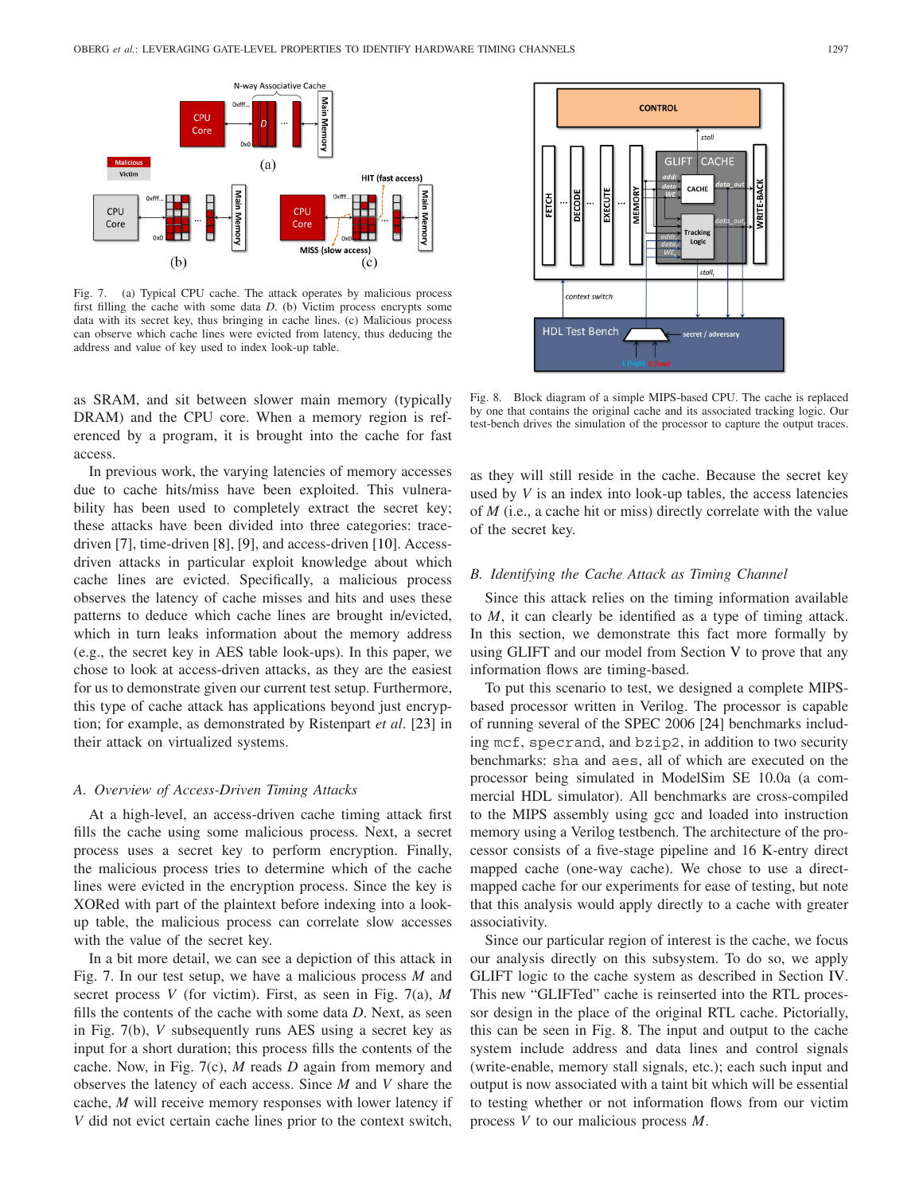

Fig. 7. (a) Typical CPU cache. The attack operates by malicious process first filling the cache with some data *D*. (b) Victim process encrypts some data with its secret key, thus bringing in cache lines. (c) Malicious process can observe which cache lines were evicted from latency, thus deducing the address and value of key used to index look-up table.

as SRAM, and sit between slower main memory (typically DRAM) and the CPU core. When a memory region is referenced by a program, it is brought into the cache for fast access.

In previous work, the varying latencies of memory accesses due to cache hits/miss have been exploited. This vulnerability has been used to completely extract the secret key; these attacks have been divided into three categories: tracedriven [7], time-driven [8], [9], and access-driven [10]. Accessdriven attacks in particular exploit knowledge about which cache lines are evicted. Specifically, a malicious process observes the latency of cache misses and hits and uses these patterns to deduce which cache lines are brought in/evicted, which in turn leaks information about the memory address (e.g., the secret key in AES table look-ups). In this paper, we chose to look at access-driven attacks, as they are the easiest for us to demonstrate given our current test setup. Furthermore, this type of cache attack has applications beyond just encryption; for example, as demonstrated by Ristenpart *et al*. [23] in their attack on virtualized systems.

#### *A. Overview of Access-Driven Timing Attacks*

At a high-level, an access-driven cache timing attack first fills the cache using some malicious process. Next, a secret process uses a secret key to perform encryption. Finally, the malicious process tries to determine which of the cache lines were evicted in the encryption process. Since the key is XORed with part of the plaintext before indexing into a lookup table, the malicious process can correlate slow accesses with the value of the secret key.

In a bit more detail, we can see a depiction of this attack in Fig. 7. In our test setup, we have a malicious process *M* and secret process *V* (for victim). First, as seen in Fig. 7(a), *M* fills the contents of the cache with some data *D*. Next, as seen in Fig. 7(b), *V* subsequently runs AES using a secret key as input for a short duration; this process fills the contents of the cache. Now, in Fig. 7(c), *M* reads *D* again from memory and observes the latency of each access. Since *M* and *V* share the cache, *M* will receive memory responses with lower latency if *V* did not evict certain cache lines prior to the context switch,



Fig. 8. Block diagram of a simple MIPS-based CPU. The cache is replaced by one that contains the original cache and its associated tracking logic. Our test-bench drives the simulation of the processor to capture the output traces.

as they will still reside in the cache. Because the secret key used by *V* is an index into look-up tables, the access latencies of *M* (i.e., a cache hit or miss) directly correlate with the value of the secret key.

# *B. Identifying the Cache Attack as Timing Channel*

Since this attack relies on the timing information available to *M*, it can clearly be identified as a type of timing attack. In this section, we demonstrate this fact more formally by using GLIFT and our model from Section V to prove that any information flows are timing-based.

To put this scenario to test, we designed a complete MIPSbased processor written in Verilog. The processor is capable of running several of the SPEC 2006 [24] benchmarks including mcf, specrand, and bzip2, in addition to two security benchmarks: sha and aes, all of which are executed on the processor being simulated in ModelSim SE 10.0a (a commercial HDL simulator). All benchmarks are cross-compiled to the MIPS assembly using gcc and loaded into instruction memory using a Verilog testbench. The architecture of the processor consists of a five-stage pipeline and 16 K-entry direct mapped cache (one-way cache). We chose to use a directmapped cache for our experiments for ease of testing, but note that this analysis would apply directly to a cache with greater associativity.

Since our particular region of interest is the cache, we focus our analysis directly on this subsystem. To do so, we apply GLIFT logic to the cache system as described in Section IV. This new "GLIFTed" cache is reinserted into the RTL processor design in the place of the original RTL cache. Pictorially, this can be seen in Fig. 8. The input and output to the cache system include address and data lines and control signals (write-enable, memory stall signals, etc.); each such input and output is now associated with a taint bit which will be essential to testing whether or not information flows from our victim process *V* to our malicious process *M*.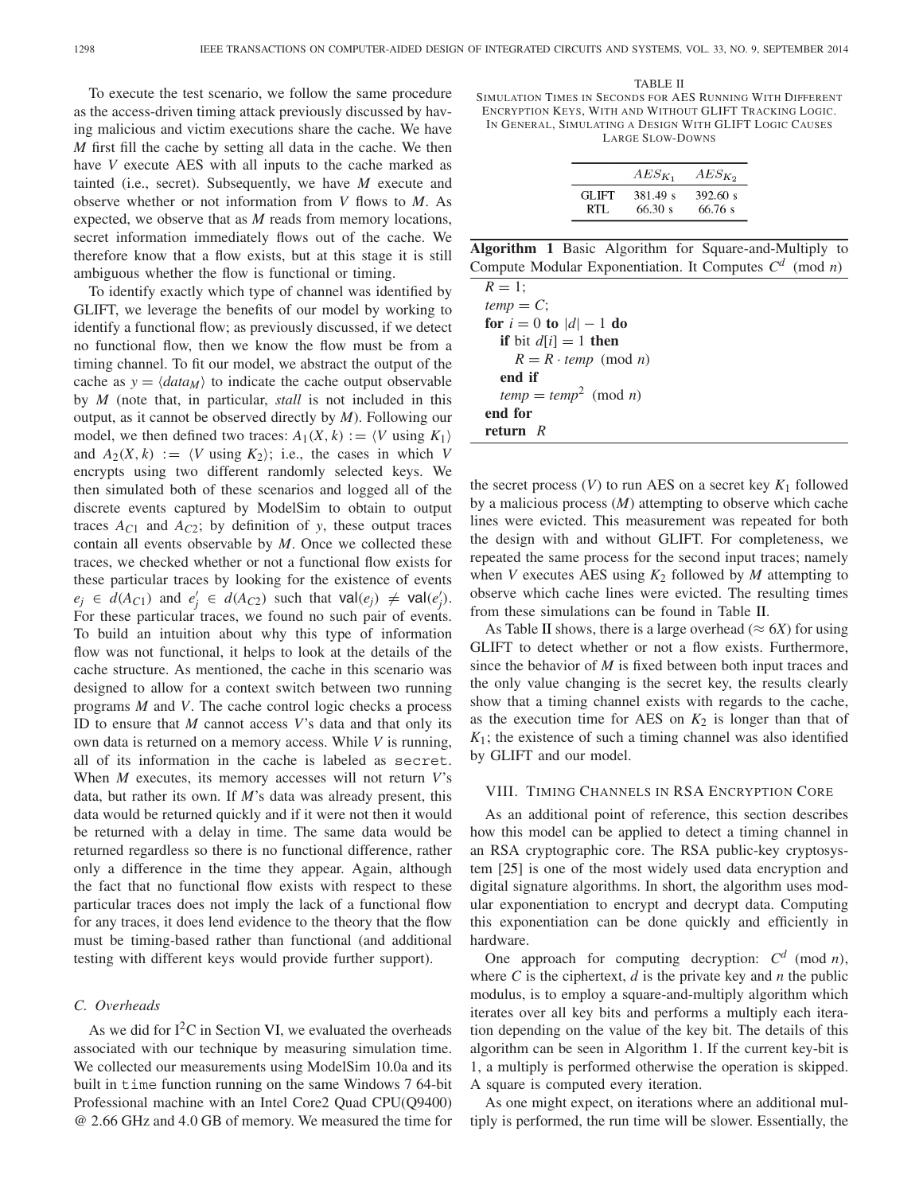To execute the test scenario, we follow the same procedure as the access-driven timing attack previously discussed by having malicious and victim executions share the cache. We have *M* first fill the cache by setting all data in the cache. We then have *V* execute AES with all inputs to the cache marked as tainted (i.e., secret). Subsequently, we have *M* execute and observe whether or not information from *V* flows to *M*. As expected, we observe that as *M* reads from memory locations, secret information immediately flows out of the cache. We therefore know that a flow exists, but at this stage it is still ambiguous whether the flow is functional or timing.

To identify exactly which type of channel was identified by GLIFT, we leverage the benefits of our model by working to identify a functional flow; as previously discussed, if we detect no functional flow, then we know the flow must be from a timing channel. To fit our model, we abstract the output of the cache as  $y = \langle data_M \rangle$  to indicate the cache output observable by *M* (note that, in particular, *stall* is not included in this output, as it cannot be observed directly by *M*). Following our model, we then defined two traces:  $A_1(X, k) := \langle V \text{ using } K_1 \rangle$ and  $A_2(X, k) := \langle V \text{ using } K_2 \rangle$ ; i.e., the cases in which *V* encrypts using two different randomly selected keys. We then simulated both of these scenarios and logged all of the discrete events captured by ModelSim to obtain to output traces  $A_{C1}$  and  $A_{C2}$ ; by definition of *y*, these output traces contain all events observable by *M*. Once we collected these traces, we checked whether or not a functional flow exists for these particular traces by looking for the existence of events  $e_j \in d(A_{C1})$  and  $e'_j \in d(A_{C2})$  such that  $val(e_j) \neq val(e'_j)$ . For these particular traces, we found no such pair of events. To build an intuition about why this type of information flow was not functional, it helps to look at the details of the cache structure. As mentioned, the cache in this scenario was designed to allow for a context switch between two running programs *M* and *V*. The cache control logic checks a process ID to ensure that *M* cannot access *V*'s data and that only its own data is returned on a memory access. While *V* is running, all of its information in the cache is labeled as secret. When *M* executes, its memory accesses will not return *V*'s data, but rather its own. If *M*'s data was already present, this data would be returned quickly and if it were not then it would be returned with a delay in time. The same data would be returned regardless so there is no functional difference, rather only a difference in the time they appear. Again, although the fact that no functional flow exists with respect to these particular traces does not imply the lack of a functional flow for any traces, it does lend evidence to the theory that the flow must be timing-based rather than functional (and additional testing with different keys would provide further support).

#### *C. Overheads*

As we did for  $I^2C$  in Section VI, we evaluated the overheads associated with our technique by measuring simulation time. We collected our measurements using ModelSim 10.0a and its built in time function running on the same Windows 7 64-bit Professional machine with an Intel Core2 Quad CPU(Q9400) @ 2.66 GHz and 4.0 GB of memory. We measured the time for

TABLE II

SIMULATION TIMES IN SECONDS FOR AES RUNNING WITH DIFFERENT ENCRYPTION KEYS, WITH AND WITHOUT GLIFT TRACKING LOGIC. IN GENERAL, SIMULATING A DESIGN WITH GLIFT LOGIC CAUSES LARGE SLOW-DOWNS

|        | $AES_{K_1}$ | $AES_{K_2}$ |
|--------|-------------|-------------|
| GL JFT | 381.49 s    | 392.60 s    |
| RTL    | 66.30 s     | 66.76 s     |

**Algorithm 1** Basic Algorithm for Square-and-Multiply to Compute Modular Exponentiation. It Computes *C<sup>d</sup>* (mod *n*)

| $R = 1$ :                            |
|--------------------------------------|
| $temp = C$ ;                         |
| for $i = 0$ to $ d  - 1$ do          |
| <b>if</b> bit $d[i] = 1$ <b>then</b> |
| $R = R \cdot temp \pmod{n}$          |
| end if                               |
| $temp = temp^2 \pmod{n}$             |
| end for                              |
| return $R$                           |
|                                      |

the secret process  $(V)$  to run AES on a secret key  $K_1$  followed by a malicious process (*M*) attempting to observe which cache lines were evicted. This measurement was repeated for both the design with and without GLIFT. For completeness, we repeated the same process for the second input traces; namely when *V* executes AES using  $K_2$  followed by *M* attempting to observe which cache lines were evicted. The resulting times from these simulations can be found in Table II.

As Table II shows, there is a large overhead ( $\approx$  6*X*) for using GLIFT to detect whether or not a flow exists. Furthermore, since the behavior of *M* is fixed between both input traces and the only value changing is the secret key, the results clearly show that a timing channel exists with regards to the cache, as the execution time for AES on  $K_2$  is longer than that of  $K_1$ ; the existence of such a timing channel was also identified by GLIFT and our model.

#### VIII. TIMING CHANNELS IN RSA ENCRYPTION CORE

As an additional point of reference, this section describes how this model can be applied to detect a timing channel in an RSA cryptographic core. The RSA public-key cryptosystem [25] is one of the most widely used data encryption and digital signature algorithms. In short, the algorithm uses modular exponentiation to encrypt and decrypt data. Computing this exponentiation can be done quickly and efficiently in hardware.

One approach for computing decryption:  $C^d$  (mod *n*), where  $C$  is the ciphertext,  $d$  is the private key and  $n$  the public modulus, is to employ a square-and-multiply algorithm which iterates over all key bits and performs a multiply each iteration depending on the value of the key bit. The details of this algorithm can be seen in Algorithm 1. If the current key-bit is 1, a multiply is performed otherwise the operation is skipped. A square is computed every iteration.

As one might expect, on iterations where an additional multiply is performed, the run time will be slower. Essentially, the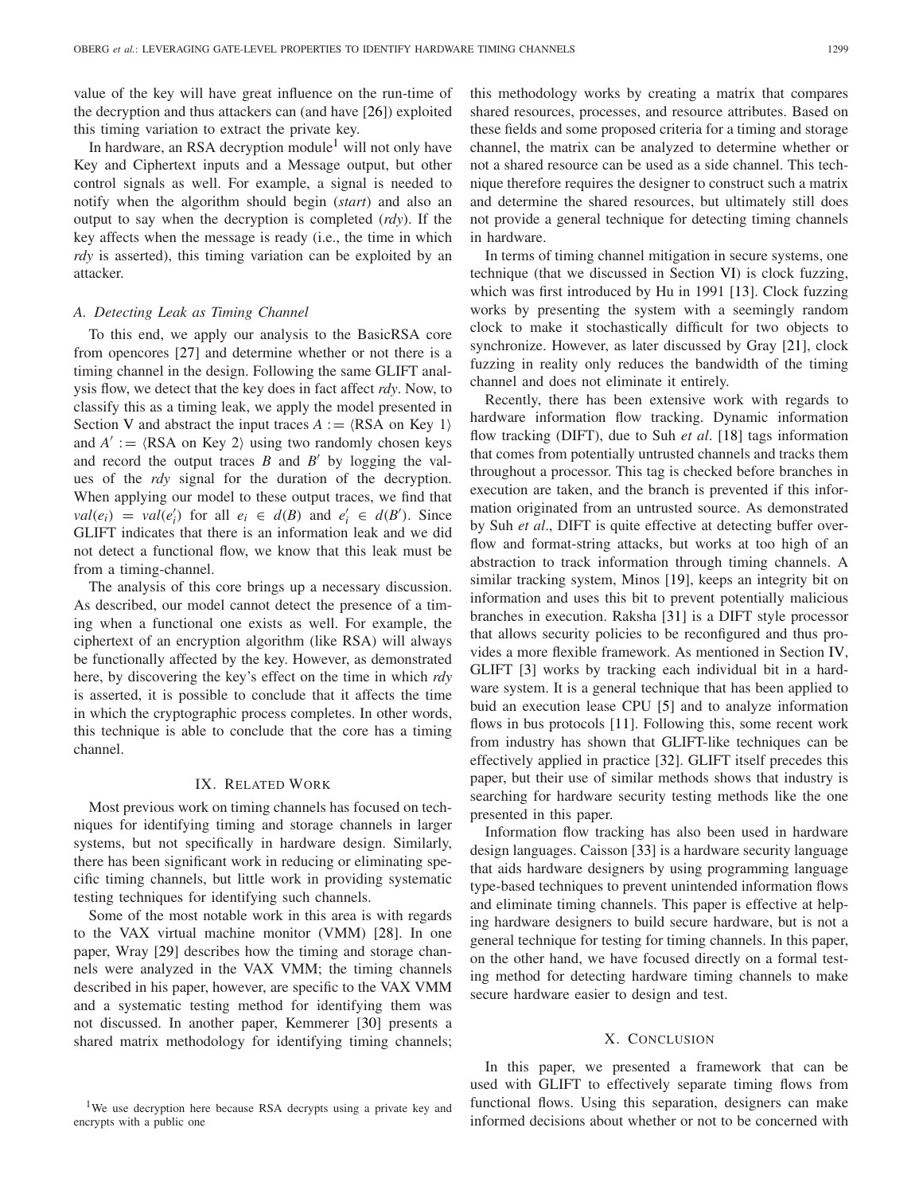value of the key will have great influence on the run-time of the decryption and thus attackers can (and have [26]) exploited this timing variation to extract the private key.

In hardware, an RSA decryption module<sup>1</sup> will not only have Key and Ciphertext inputs and a Message output, but other control signals as well. For example, a signal is needed to notify when the algorithm should begin (*start*) and also an output to say when the decryption is completed (*rdy*). If the key affects when the message is ready (i.e., the time in which *rdy* is asserted), this timing variation can be exploited by an attacker.

#### *A. Detecting Leak as Timing Channel*

To this end, we apply our analysis to the BasicRSA core from opencores [27] and determine whether or not there is a timing channel in the design. Following the same GLIFT analysis flow, we detect that the key does in fact affect *rdy*. Now, to classify this as a timing leak, we apply the model presented in Section V and abstract the input traces  $A := \langle$ RSA on Key 1 $\rangle$ and  $A' := \langle$ RSA on Key 2 $\rangle$  using two randomly chosen keys and record the output traces  $B$  and  $B'$  by logging the values of the *rdy* signal for the duration of the decryption. When applying our model to these output traces, we find that *val*(*e<sub>i</sub>*) = *val*(*e<sub>i</sub>*) for all *e<sub>i</sub>* ∈ *d*(*B*) and *e<sub>i</sub>* ∈ *d*(*B*<sup>'</sup>). Since GLIFT indicates that there is an information leak and we did not detect a functional flow, we know that this leak must be from a timing-channel.

The analysis of this core brings up a necessary discussion. As described, our model cannot detect the presence of a timing when a functional one exists as well. For example, the ciphertext of an encryption algorithm (like RSA) will always be functionally affected by the key. However, as demonstrated here, by discovering the key's effect on the time in which *rdy* is asserted, it is possible to conclude that it affects the time in which the cryptographic process completes. In other words, this technique is able to conclude that the core has a timing channel.

# IX. RELATED WORK

Most previous work on timing channels has focused on techniques for identifying timing and storage channels in larger systems, but not specifically in hardware design. Similarly, there has been significant work in reducing or eliminating specific timing channels, but little work in providing systematic testing techniques for identifying such channels.

Some of the most notable work in this area is with regards to the VAX virtual machine monitor (VMM) [28]. In one paper, Wray [29] describes how the timing and storage channels were analyzed in the VAX VMM; the timing channels described in his paper, however, are specific to the VAX VMM and a systematic testing method for identifying them was not discussed. In another paper, Kemmerer [30] presents a shared matrix methodology for identifying timing channels; this methodology works by creating a matrix that compares shared resources, processes, and resource attributes. Based on these fields and some proposed criteria for a timing and storage channel, the matrix can be analyzed to determine whether or not a shared resource can be used as a side channel. This technique therefore requires the designer to construct such a matrix and determine the shared resources, but ultimately still does not provide a general technique for detecting timing channels in hardware.

In terms of timing channel mitigation in secure systems, one technique (that we discussed in Section VI) is clock fuzzing, which was first introduced by Hu in 1991 [13]. Clock fuzzing works by presenting the system with a seemingly random clock to make it stochastically difficult for two objects to synchronize. However, as later discussed by Gray [21], clock fuzzing in reality only reduces the bandwidth of the timing channel and does not eliminate it entirely.

Recently, there has been extensive work with regards to hardware information flow tracking. Dynamic information flow tracking (DIFT), due to Suh *et al*. [18] tags information that comes from potentially untrusted channels and tracks them throughout a processor. This tag is checked before branches in execution are taken, and the branch is prevented if this information originated from an untrusted source. As demonstrated by Suh *et al*., DIFT is quite effective at detecting buffer overflow and format-string attacks, but works at too high of an abstraction to track information through timing channels. A similar tracking system, Minos [19], keeps an integrity bit on information and uses this bit to prevent potentially malicious branches in execution. Raksha [31] is a DIFT style processor that allows security policies to be reconfigured and thus provides a more flexible framework. As mentioned in Section IV, GLIFT [3] works by tracking each individual bit in a hardware system. It is a general technique that has been applied to buid an execution lease CPU [5] and to analyze information flows in bus protocols [11]. Following this, some recent work from industry has shown that GLIFT-like techniques can be effectively applied in practice [32]. GLIFT itself precedes this paper, but their use of similar methods shows that industry is searching for hardware security testing methods like the one presented in this paper.

Information flow tracking has also been used in hardware design languages. Caisson [33] is a hardware security language that aids hardware designers by using programming language type-based techniques to prevent unintended information flows and eliminate timing channels. This paper is effective at helping hardware designers to build secure hardware, but is not a general technique for testing for timing channels. In this paper, on the other hand, we have focused directly on a formal testing method for detecting hardware timing channels to make secure hardware easier to design and test.

# X. CONCLUSION

In this paper, we presented a framework that can be used with GLIFT to effectively separate timing flows from functional flows. Using this separation, designers can make informed decisions about whether or not to be concerned with

<sup>&</sup>lt;sup>1</sup>We use decryption here because RSA decrypts using a private key and encrypts with a public one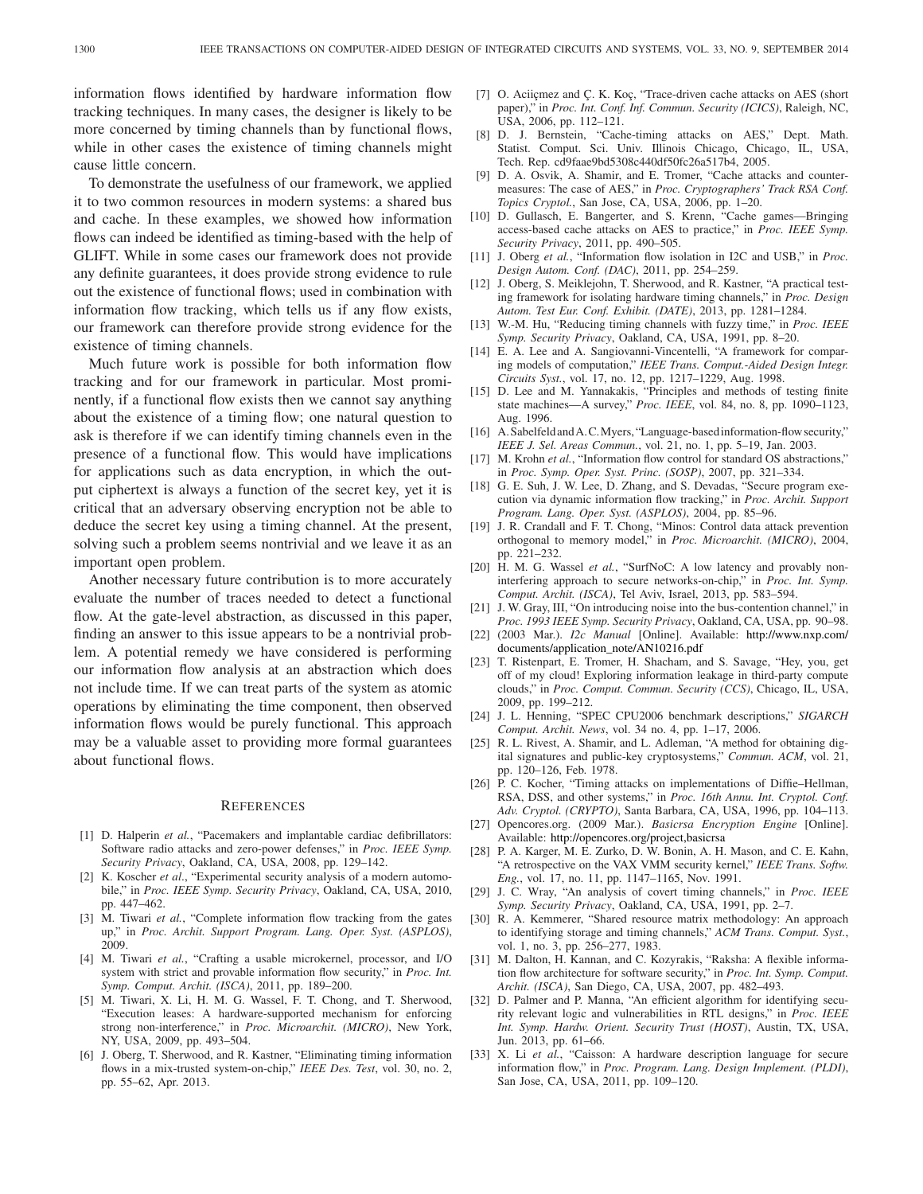information flows identified by hardware information flow tracking techniques. In many cases, the designer is likely to be more concerned by timing channels than by functional flows, while in other cases the existence of timing channels might cause little concern.

To demonstrate the usefulness of our framework, we applied it to two common resources in modern systems: a shared bus and cache. In these examples, we showed how information flows can indeed be identified as timing-based with the help of GLIFT. While in some cases our framework does not provide any definite guarantees, it does provide strong evidence to rule out the existence of functional flows; used in combination with information flow tracking, which tells us if any flow exists, our framework can therefore provide strong evidence for the existence of timing channels.

Much future work is possible for both information flow tracking and for our framework in particular. Most prominently, if a functional flow exists then we cannot say anything about the existence of a timing flow; one natural question to ask is therefore if we can identify timing channels even in the presence of a functional flow. This would have implications for applications such as data encryption, in which the output ciphertext is always a function of the secret key, yet it is critical that an adversary observing encryption not be able to deduce the secret key using a timing channel. At the present, solving such a problem seems nontrivial and we leave it as an important open problem.

Another necessary future contribution is to more accurately evaluate the number of traces needed to detect a functional flow. At the gate-level abstraction, as discussed in this paper, finding an answer to this issue appears to be a nontrivial problem. A potential remedy we have considered is performing our information flow analysis at an abstraction which does not include time. If we can treat parts of the system as atomic operations by eliminating the time component, then observed information flows would be purely functional. This approach may be a valuable asset to providing more formal guarantees about functional flows.

#### **REFERENCES**

- [1] D. Halperin et al., "Pacemakers and implantable cardiac defibrillators: Software radio attacks and zero-power defenses," in *Proc. IEEE Symp. Security Privacy*, Oakland, CA, USA, 2008, pp. 129–142.
- [2] K. Koscher *et al*., "Experimental security analysis of a modern automobile," in *Proc. IEEE Symp. Security Privacy*, Oakland, CA, USA, 2010, pp. 447–462.
- [3] M. Tiwari *et al.*, "Complete information flow tracking from the gates up," in *Proc. Archit. Support Program. Lang. Oper. Syst. (ASPLOS)*, 2009.
- [4] M. Tiwari *et al.*, "Crafting a usable microkernel, processor, and I/O system with strict and provable information flow security," in *Proc. Int. Symp. Comput. Archit. (ISCA)*, 2011, pp. 189–200.
- [5] M. Tiwari, X. Li, H. M. G. Wassel, F. T. Chong, and T. Sherwood, "Execution leases: A hardware-supported mechanism for enforcing strong non-interference," in *Proc. Microarchit. (MICRO)*, New York, NY, USA, 2009, pp. 493–504.
- [6] J. Oberg, T. Sherwood, and R. Kastner, "Eliminating timing information flows in a mix-trusted system-on-chip," *IEEE Des. Test*, vol. 30, no. 2, pp. 55–62, Apr. 2013.
- [7] O. Aciiçmez and C. K. Koç, "Trace-driven cache attacks on AES (short paper)," in *Proc. Int. Conf. Inf. Commun. Security (ICICS)*, Raleigh, NC, USA, 2006, pp. 112–121.
- [8] D. J. Bernstein, "Cache-timing attacks on AES," Dept. Math. Statist. Comput. Sci. Univ. Illinois Chicago, Chicago, IL, USA, Tech. Rep. cd9faae9bd5308c440df50fc26a517b4, 2005.
- [9] D. A. Osvik, A. Shamir, and E. Tromer, "Cache attacks and countermeasures: The case of AES," in *Proc. Cryptographers' Track RSA Conf. Topics Cryptol.*, San Jose, CA, USA, 2006, pp. 1–20.
- [10] D. Gullasch, E. Bangerter, and S. Krenn, "Cache games—Bringing access-based cache attacks on AES to practice," in *Proc. IEEE Symp. Security Privacy*, 2011, pp. 490–505.
- [11] J. Oberg *et al.*, "Information flow isolation in I2C and USB," in *Proc. Design Autom. Conf. (DAC)*, 2011, pp. 254–259.
- [12] J. Oberg, S. Meiklejohn, T. Sherwood, and R. Kastner, "A practical testing framework for isolating hardware timing channels," in *Proc. Design Autom. Test Eur. Conf. Exhibit. (DATE)*, 2013, pp. 1281–1284.
- [13] W.-M. Hu, "Reducing timing channels with fuzzy time," in *Proc. IEEE Symp. Security Privacy*, Oakland, CA, USA, 1991, pp. 8–20.
- [14] E. A. Lee and A. Sangiovanni-Vincentelli, "A framework for comparing models of computation," *IEEE Trans. Comput.-Aided Design Integr. Circuits Syst.*, vol. 17, no. 12, pp. 1217–1229, Aug. 1998.
- [15] D. Lee and M. Yannakakis, "Principles and methods of testing finite state machines—A survey," *Proc. IEEE*, vol. 84, no. 8, pp. 1090–1123, Aug. 1996.
- [16] A. Sabelfeld and A. C. Myers, "Language-based information-flow security," *IEEE J. Sel. Areas Commun.*, vol. 21, no. 1, pp. 5–19, Jan. 2003.
- [17] M. Krohn *et al.*, "Information flow control for standard OS abstractions," in *Proc. Symp. Oper. Syst. Princ. (SOSP)*, 2007, pp. 321–334.
- [18] G. E. Suh, J. W. Lee, D. Zhang, and S. Devadas, "Secure program execution via dynamic information flow tracking," in *Proc. Archit. Support Program. Lang. Oper. Syst. (ASPLOS)*, 2004, pp. 85–96.
- [19] J. R. Crandall and F. T. Chong, "Minos: Control data attack prevention orthogonal to memory model," in *Proc. Microarchit. (MICRO)*, 2004, pp. 221–232.
- [20] H. M. G. Wassel et al., "SurfNoC: A low latency and provably noninterfering approach to secure networks-on-chip," in *Proc. Int. Symp. Comput. Archit. (ISCA)*, Tel Aviv, Israel, 2013, pp. 583–594.
- [21] J. W. Gray, III, "On introducing noise into the bus-contention channel," in *Proc. 1993 IEEE Symp. Security Privacy*, Oakland, CA, USA, pp. 90–98.
- [22] (2003 Mar.). *I2c Manual* [Online]. Available: http://www.nxp.com/ documents/application\_note/AN10216.pdf
- [23] T. Ristenpart, E. Tromer, H. Shacham, and S. Savage, "Hey, you, get off of my cloud! Exploring information leakage in third-party compute clouds," in *Proc. Comput. Commun. Security (CCS)*, Chicago, IL, USA, 2009, pp. 199–212.
- [24] J. L. Henning, "SPEC CPU2006 benchmark descriptions," *SIGARCH Comput. Archit. News*, vol. 34 no. 4, pp. 1–17, 2006.
- [25] R. L. Rivest, A. Shamir, and L. Adleman, "A method for obtaining digital signatures and public-key cryptosystems," *Commun. ACM*, vol. 21, pp. 120–126, Feb. 1978.
- [26] P. C. Kocher, "Timing attacks on implementations of Diffie–Hellman, RSA, DSS, and other systems," in *Proc. 16th Annu. Int. Cryptol. Conf. Adv. Cryptol. (CRYPTO)*, Santa Barbara, CA, USA, 1996, pp. 104–113.
- [27] Opencores.org. (2009 Mar.). *Basicrsa Encryption Engine* [Online]. Available: http://opencores.org/project,basicrsa
- [28] P. A. Karger, M. E. Zurko, D. W. Bonin, A. H. Mason, and C. E. Kahn, "A retrospective on the VAX VMM security kernel," *IEEE Trans. Softw. Eng.*, vol. 17, no. 11, pp. 1147–1165, Nov. 1991.
- [29] J. C. Wray, "An analysis of covert timing channels," in *Proc. IEEE Symp. Security Privacy*, Oakland, CA, USA, 1991, pp. 2–7.
- [30] R. A. Kemmerer, "Shared resource matrix methodology: An approach to identifying storage and timing channels," *ACM Trans. Comput. Syst.*, vol. 1, no. 3, pp. 256–277, 1983.
- [31] M. Dalton, H. Kannan, and C. Kozyrakis, "Raksha: A flexible information flow architecture for software security," in *Proc. Int. Symp. Comput. Archit. (ISCA)*, San Diego, CA, USA, 2007, pp. 482–493.
- [32] D. Palmer and P. Manna, "An efficient algorithm for identifying security relevant logic and vulnerabilities in RTL designs," in *Proc. IEEE Int. Symp. Hardw. Orient. Security Trust (HOST)*, Austin, TX, USA, Jun. 2013, pp. 61–66.
- [33] X. Li et al., "Caisson: A hardware description language for secure information flow," in *Proc. Program. Lang. Design Implement. (PLDI)*, San Jose, CA, USA, 2011, pp. 109–120.